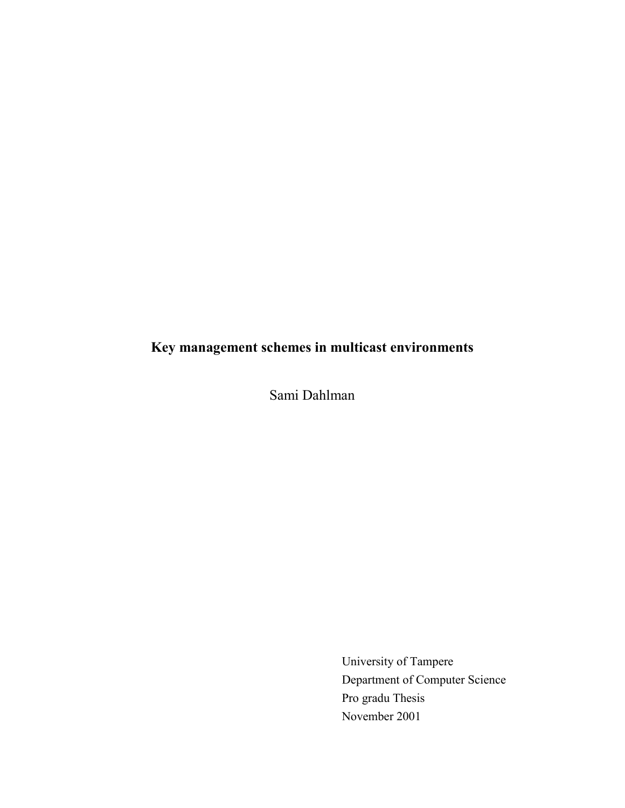# **Key management schemes in multicast environments**

Sami Dahlman

University of Tampere Department of Computer Science Pro gradu Thesis November 2001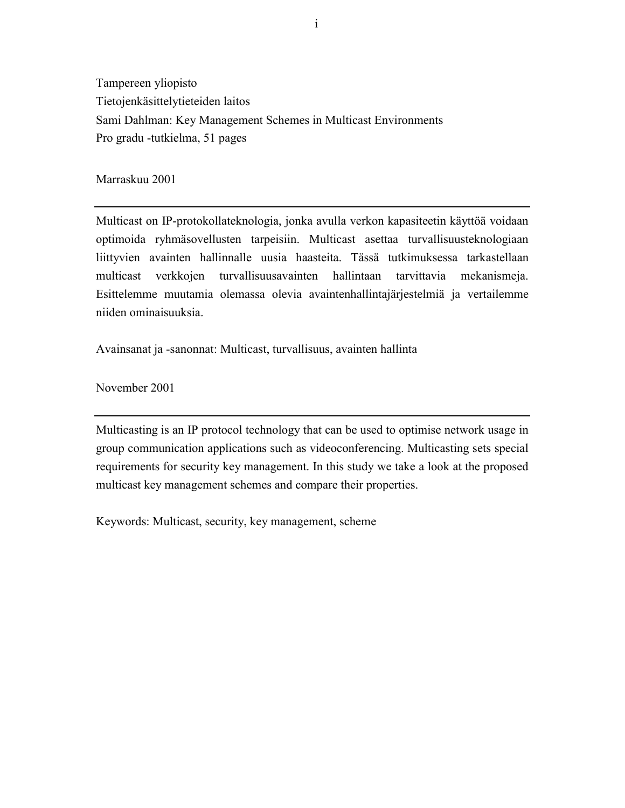Tampereen yliopisto Tietojenkäsittelytieteiden laitos Sami Dahlman: Key Management Schemes in Multicast Environments Pro gradu -tutkielma, 51 pages

Marraskuu 2001

Multicast on IP-protokollateknologia, jonka avulla verkon kapasiteetin käyttöä voidaan optimoida ryhmäsovellusten tarpeisiin. Multicast asettaa turvallisuusteknologiaan liittyvien avainten hallinnalle uusia haasteita. Tässä tutkimuksessa tarkastellaan multicast verkkojen turvallisuusavainten hallintaan tarvittavia mekanismeja. Esittelemme muutamia olemassa olevia avaintenhallintajärjestelmiä ja vertailemme niiden ominaisuuksia.

Avainsanat ja -sanonnat: Multicast, turvallisuus, avainten hallinta

November 2001

Multicasting is an IP protocol technology that can be used to optimise network usage in group communication applications such as videoconferencing. Multicasting sets special requirements for security key management. In this study we take a look at the proposed multicast key management schemes and compare their properties.

Keywords: Multicast, security, key management, scheme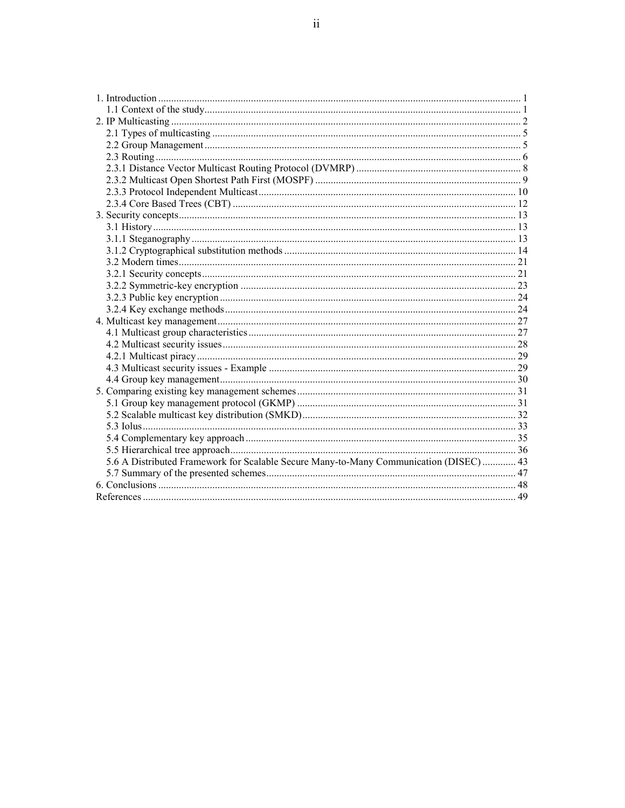| 5.6 A Distributed Framework for Scalable Secure Many-to-Many Communication (DISEC)  43 |  |
|----------------------------------------------------------------------------------------|--|
|                                                                                        |  |
|                                                                                        |  |
|                                                                                        |  |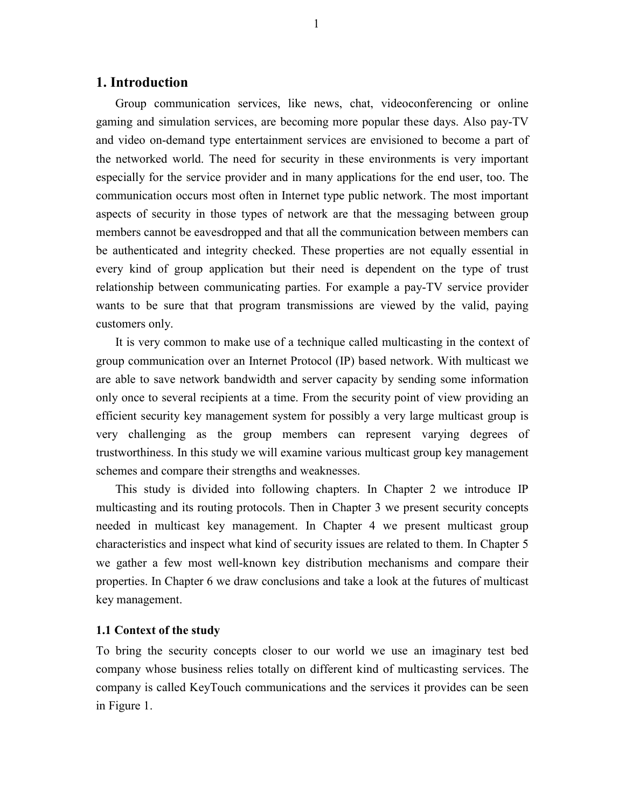# **1. Introduction**

Group communication services, like news, chat, videoconferencing or online gaming and simulation services, are becoming more popular these days. Also pay-TV and video on-demand type entertainment services are envisioned to become a part of the networked world. The need for security in these environments is very important especially for the service provider and in many applications for the end user, too. The communication occurs most often in Internet type public network. The most important aspects of security in those types of network are that the messaging between group members cannot be eavesdropped and that all the communication between members can be authenticated and integrity checked. These properties are not equally essential in every kind of group application but their need is dependent on the type of trust relationship between communicating parties. For example a pay-TV service provider wants to be sure that that program transmissions are viewed by the valid, paying customers only.

It is very common to make use of a technique called multicasting in the context of group communication over an Internet Protocol (IP) based network. With multicast we are able to save network bandwidth and server capacity by sending some information only once to several recipients at a time. From the security point of view providing an efficient security key management system for possibly a very large multicast group is very challenging as the group members can represent varying degrees of trustworthiness. In this study we will examine various multicast group key management schemes and compare their strengths and weaknesses.

This study is divided into following chapters. In Chapter 2 we introduce IP multicasting and its routing protocols. Then in Chapter 3 we present security concepts needed in multicast key management. In Chapter 4 we present multicast group characteristics and inspect what kind of security issues are related to them. In Chapter 5 we gather a few most well-known key distribution mechanisms and compare their properties. In Chapter 6 we draw conclusions and take a look at the futures of multicast key management.

#### **1.1 Context of the study**

To bring the security concepts closer to our world we use an imaginary test bed company whose business relies totally on different kind of multicasting services. The company is called KeyTouch communications and the services it provides can be seen in Figure 1.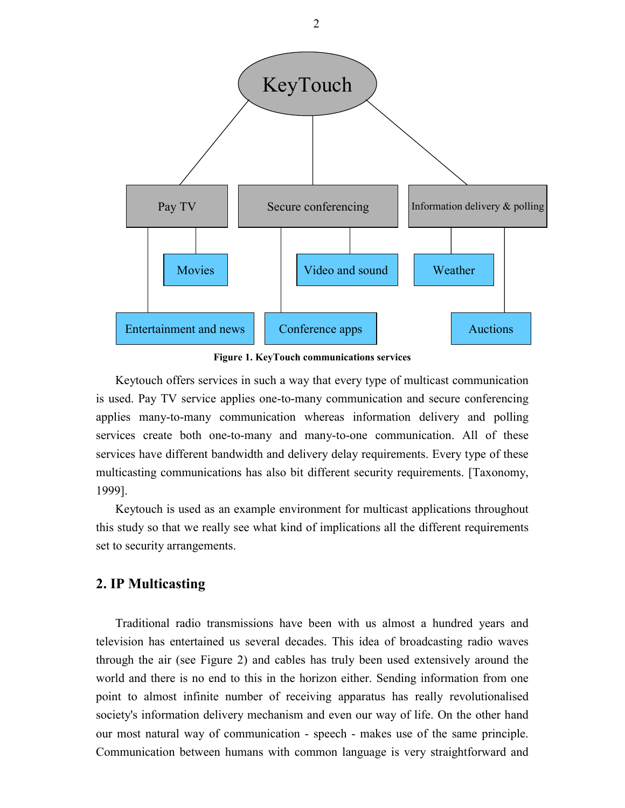

**Figure 1. KeyTouch communications services**

Keytouch offers services in such a way that every type of multicast communication is used. Pay TV service applies one-to-many communication and secure conferencing applies many-to-many communication whereas information delivery and polling services create both one-to-many and many-to-one communication. All of these services have different bandwidth and delivery delay requirements. Every type of these multicasting communications has also bit different security requirements. [Taxonomy, 1999].

Keytouch is used as an example environment for multicast applications throughout this study so that we really see what kind of implications all the different requirements set to security arrangements.

# **2. IP Multicasting**

Traditional radio transmissions have been with us almost a hundred years and television has entertained us several decades. This idea of broadcasting radio waves through the air (see Figure 2) and cables has truly been used extensively around the world and there is no end to this in the horizon either. Sending information from one point to almost infinite number of receiving apparatus has really revolutionalised society's information delivery mechanism and even our way of life. On the other hand our most natural way of communication - speech - makes use of the same principle. Communication between humans with common language is very straightforward and

2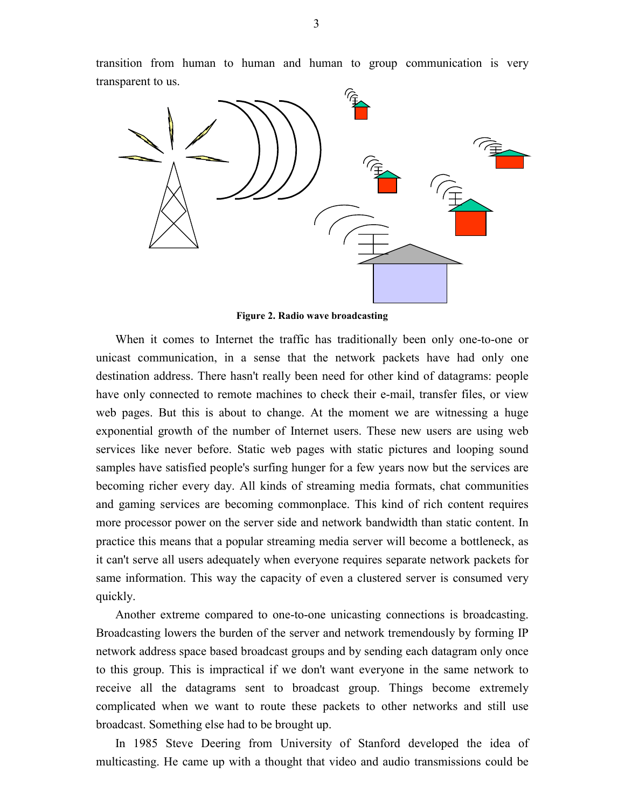transition from human to human and human to group communication is very transparent to us.



**Figure 2. Radio wave broadcasting**

When it comes to Internet the traffic has traditionally been only one-to-one or unicast communication, in a sense that the network packets have had only one destination address. There hasn't really been need for other kind of datagrams: people have only connected to remote machines to check their e-mail, transfer files, or view web pages. But this is about to change. At the moment we are witnessing a huge exponential growth of the number of Internet users. These new users are using web services like never before. Static web pages with static pictures and looping sound samples have satisfied people's surfing hunger for a few years now but the services are becoming richer every day. All kinds of streaming media formats, chat communities and gaming services are becoming commonplace. This kind of rich content requires more processor power on the server side and network bandwidth than static content. In practice this means that a popular streaming media server will become a bottleneck, as it can't serve all users adequately when everyone requires separate network packets for same information. This way the capacity of even a clustered server is consumed very quickly.

Another extreme compared to one-to-one unicasting connections is broadcasting. Broadcasting lowers the burden of the server and network tremendously by forming IP network address space based broadcast groups and by sending each datagram only once to this group. This is impractical if we don't want everyone in the same network to receive all the datagrams sent to broadcast group. Things become extremely complicated when we want to route these packets to other networks and still use broadcast. Something else had to be brought up.

In 1985 Steve Deering from University of Stanford developed the idea of multicasting. He came up with a thought that video and audio transmissions could be

3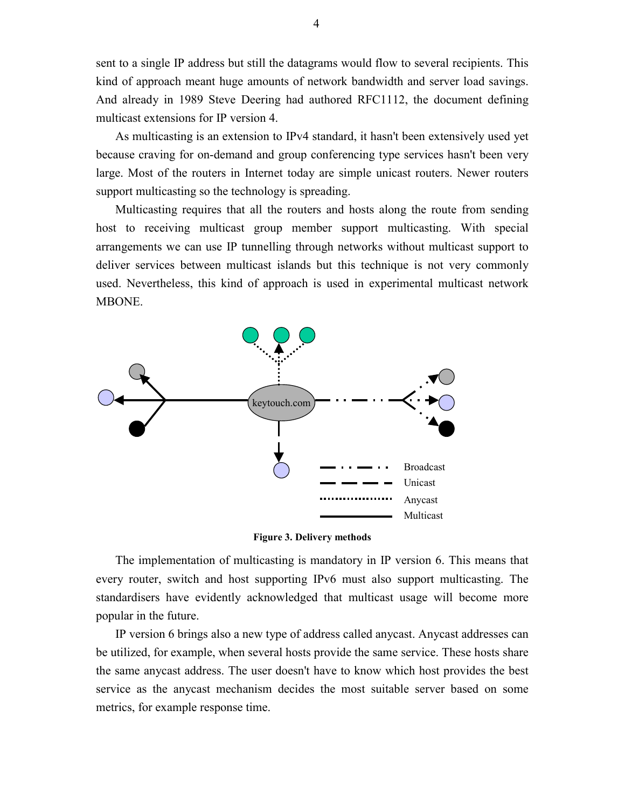sent to a single IP address but still the datagrams would flow to several recipients. This kind of approach meant huge amounts of network bandwidth and server load savings. And already in 1989 Steve Deering had authored RFC1112, the document defining multicast extensions for IP version 4.

As multicasting is an extension to IPv4 standard, it hasn't been extensively used yet because craving for on-demand and group conferencing type services hasn't been very large. Most of the routers in Internet today are simple unicast routers. Newer routers support multicasting so the technology is spreading.

Multicasting requires that all the routers and hosts along the route from sending host to receiving multicast group member support multicasting. With special arrangements we can use IP tunnelling through networks without multicast support to deliver services between multicast islands but this technique is not very commonly used. Nevertheless, this kind of approach is used in experimental multicast network MBONE.



**Figure 3. Delivery methods**

The implementation of multicasting is mandatory in IP version 6. This means that every router, switch and host supporting IPv6 must also support multicasting. The standardisers have evidently acknowledged that multicast usage will become more popular in the future.

IP version 6 brings also a new type of address called anycast. Anycast addresses can be utilized, for example, when several hosts provide the same service. These hosts share the same anycast address. The user doesn't have to know which host provides the best service as the anycast mechanism decides the most suitable server based on some metrics, for example response time.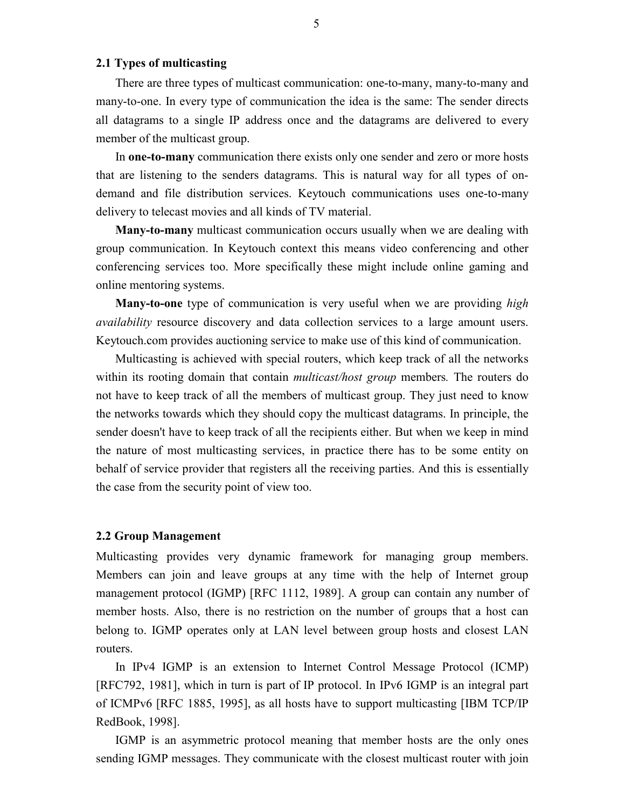# **2.1 Types of multicasting**

There are three types of multicast communication: one-to-many, many-to-many and many-to-one. In every type of communication the idea is the same: The sender directs all datagrams to a single IP address once and the datagrams are delivered to every member of the multicast group.

In **one-to-many** communication there exists only one sender and zero or more hosts that are listening to the senders datagrams. This is natural way for all types of ondemand and file distribution services. Keytouch communications uses one-to-many delivery to telecast movies and all kinds of TV material.

**Many-to-many** multicast communication occurs usually when we are dealing with group communication. In Keytouch context this means video conferencing and other conferencing services too. More specifically these might include online gaming and online mentoring systems.

**Many-to-one** type of communication is very useful when we are providing *high availability* resource discovery and data collection services to a large amount users. Keytouch.com provides auctioning service to make use of this kind of communication.

Multicasting is achieved with special routers, which keep track of all the networks within its rooting domain that contain *multicast/host group* members*.* The routers do not have to keep track of all the members of multicast group. They just need to know the networks towards which they should copy the multicast datagrams. In principle, the sender doesn't have to keep track of all the recipients either. But when we keep in mind the nature of most multicasting services, in practice there has to be some entity on behalf of service provider that registers all the receiving parties. And this is essentially the case from the security point of view too.

#### **2.2 Group Management**

Multicasting provides very dynamic framework for managing group members. Members can join and leave groups at any time with the help of Internet group management protocol (IGMP) [RFC 1112, 1989]. A group can contain any number of member hosts. Also, there is no restriction on the number of groups that a host can belong to. IGMP operates only at LAN level between group hosts and closest LAN routers.

In IPv4 IGMP is an extension to Internet Control Message Protocol (ICMP) [RFC792, 1981], which in turn is part of IP protocol. In IPv6 IGMP is an integral part of ICMPv6 [RFC 1885, 1995], as all hosts have to support multicasting [IBM TCP/IP RedBook, 1998].

IGMP is an asymmetric protocol meaning that member hosts are the only ones sending IGMP messages. They communicate with the closest multicast router with join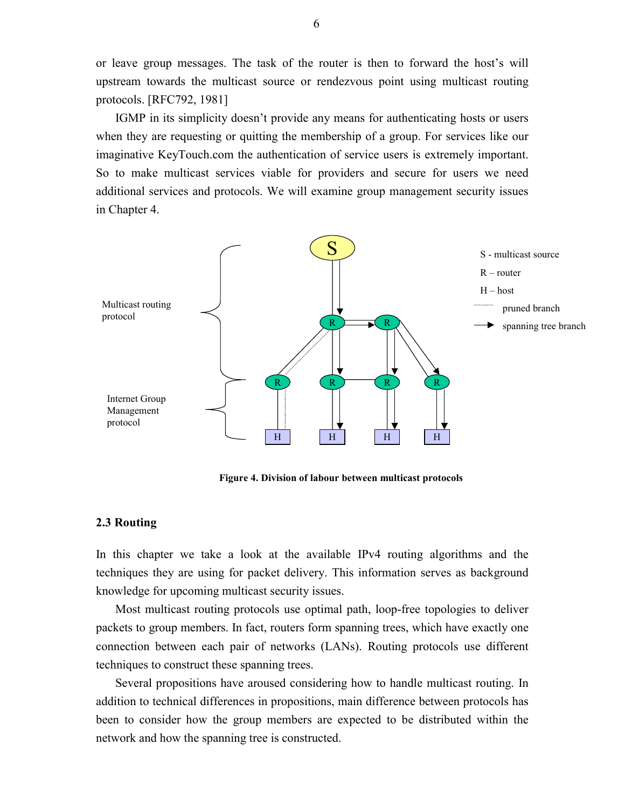or leave group messages. The task of the router is then to forward the host's will upstream towards the multicast source or rendezvous point using multicast routing protocols. [RFC792, 1981]

IGMP in its simplicity doesn't provide any means for authenticating hosts or users when they are requesting or quitting the membership of a group. For services like our imaginative KeyTouch.com the authentication of service users is extremely important. So to make multicast services viable for providers and secure for users we need additional services and protocols. We will examine group management security issues in Chapter 4.



**Figure 4. Division of labour between multicast protocols**

#### **2.3 Routing**

In this chapter we take a look at the available IPv4 routing algorithms and the techniques they are using for packet delivery. This information serves as background knowledge for upcoming multicast security issues.

Most multicast routing protocols use optimal path, loop-free topologies to deliver packets to group members. In fact, routers form spanning trees, which have exactly one connection between each pair of networks (LANs). Routing protocols use different techniques to construct these spanning trees.

Several propositions have aroused considering how to handle multicast routing. In addition to technical differences in propositions, main difference between protocols has been to consider how the group members are expected to be distributed within the network and how the spanning tree is constructed.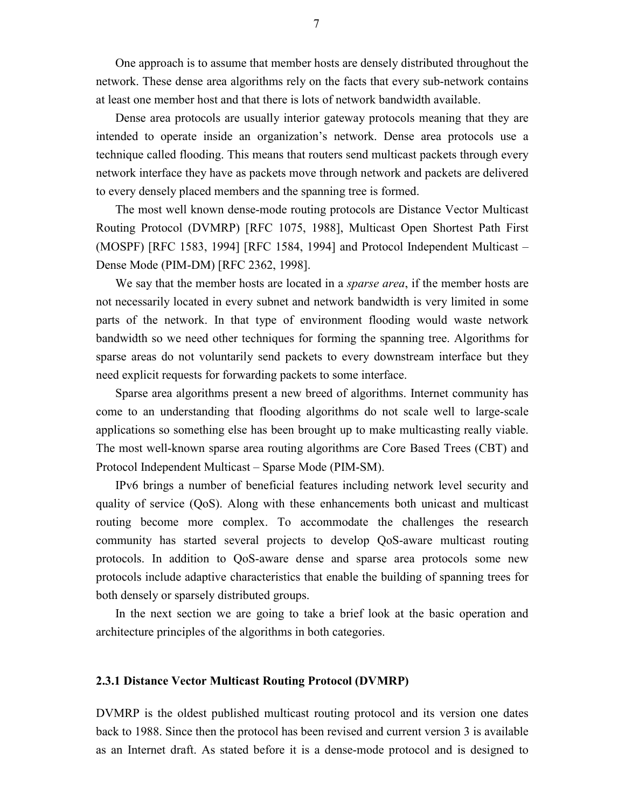One approach is to assume that member hosts are densely distributed throughout the network. These dense area algorithms rely on the facts that every sub-network contains at least one member host and that there is lots of network bandwidth available.

Dense area protocols are usually interior gateway protocols meaning that they are intended to operate inside an organization's network. Dense area protocols use a technique called flooding. This means that routers send multicast packets through every network interface they have as packets move through network and packets are delivered to every densely placed members and the spanning tree is formed.

The most well known dense-mode routing protocols are Distance Vector Multicast Routing Protocol (DVMRP) [RFC 1075, 1988], Multicast Open Shortest Path First (MOSPF) [RFC 1583, 1994] [RFC 1584, 1994] and Protocol Independent Multicast – Dense Mode (PIM-DM) [RFC 2362, 1998].

We say that the member hosts are located in a *sparse area*, if the member hosts are not necessarily located in every subnet and network bandwidth is very limited in some parts of the network. In that type of environment flooding would waste network bandwidth so we need other techniques for forming the spanning tree. Algorithms for sparse areas do not voluntarily send packets to every downstream interface but they need explicit requests for forwarding packets to some interface.

Sparse area algorithms present a new breed of algorithms. Internet community has come to an understanding that flooding algorithms do not scale well to large-scale applications so something else has been brought up to make multicasting really viable. The most well-known sparse area routing algorithms are Core Based Trees (CBT) and Protocol Independent Multicast – Sparse Mode (PIM-SM).

IPv6 brings a number of beneficial features including network level security and quality of service (QoS). Along with these enhancements both unicast and multicast routing become more complex. To accommodate the challenges the research community has started several projects to develop QoS-aware multicast routing protocols. In addition to QoS-aware dense and sparse area protocols some new protocols include adaptive characteristics that enable the building of spanning trees for both densely or sparsely distributed groups.

In the next section we are going to take a brief look at the basic operation and architecture principles of the algorithms in both categories.

#### **2.3.1 Distance Vector Multicast Routing Protocol (DVMRP)**

DVMRP is the oldest published multicast routing protocol and its version one dates back to 1988. Since then the protocol has been revised and current version 3 is available as an Internet draft. As stated before it is a dense-mode protocol and is designed to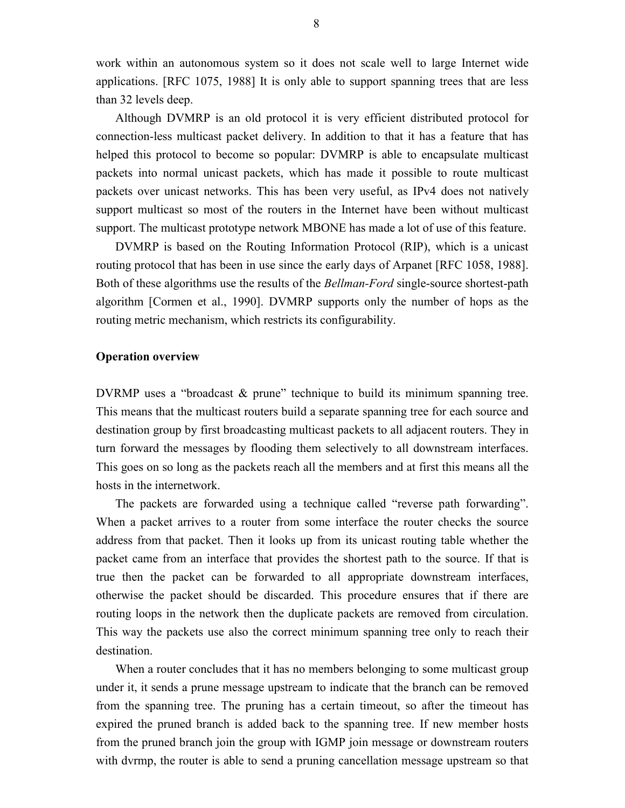work within an autonomous system so it does not scale well to large Internet wide applications. [RFC 1075, 1988] It is only able to support spanning trees that are less than 32 levels deep.

Although DVMRP is an old protocol it is very efficient distributed protocol for connection-less multicast packet delivery. In addition to that it has a feature that has helped this protocol to become so popular: DVMRP is able to encapsulate multicast packets into normal unicast packets, which has made it possible to route multicast packets over unicast networks. This has been very useful, as IPv4 does not natively support multicast so most of the routers in the Internet have been without multicast support. The multicast prototype network MBONE has made a lot of use of this feature.

DVMRP is based on the Routing Information Protocol (RIP), which is a unicast routing protocol that has been in use since the early days of Arpanet [RFC 1058, 1988]. Both of these algorithms use the results of the *Bellman-Ford* single-source shortest-path algorithm [Cormen et al., 1990]. DVMRP supports only the number of hops as the routing metric mechanism, which restricts its configurability.

#### **Operation overview**

DVRMP uses a "broadcast & prune" technique to build its minimum spanning tree. This means that the multicast routers build a separate spanning tree for each source and destination group by first broadcasting multicast packets to all adjacent routers. They in turn forward the messages by flooding them selectively to all downstream interfaces. This goes on so long as the packets reach all the members and at first this means all the hosts in the internetwork.

The packets are forwarded using a technique called "reverse path forwarding". When a packet arrives to a router from some interface the router checks the source address from that packet. Then it looks up from its unicast routing table whether the packet came from an interface that provides the shortest path to the source. If that is true then the packet can be forwarded to all appropriate downstream interfaces, otherwise the packet should be discarded. This procedure ensures that if there are routing loops in the network then the duplicate packets are removed from circulation. This way the packets use also the correct minimum spanning tree only to reach their destination.

When a router concludes that it has no members belonging to some multicast group under it, it sends a prune message upstream to indicate that the branch can be removed from the spanning tree. The pruning has a certain timeout, so after the timeout has expired the pruned branch is added back to the spanning tree. If new member hosts from the pruned branch join the group with IGMP join message or downstream routers with dvrmp, the router is able to send a pruning cancellation message upstream so that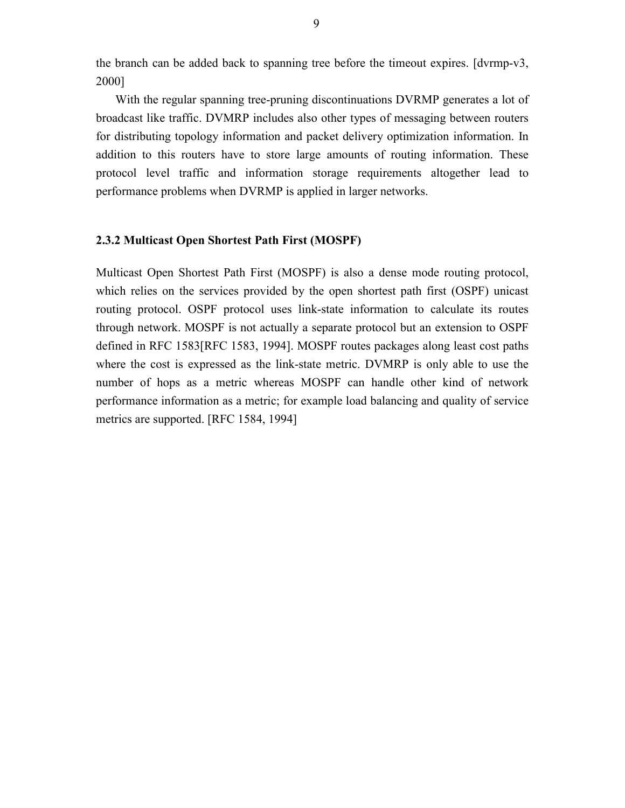the branch can be added back to spanning tree before the timeout expires. [dvrmp-v3, 2000]

With the regular spanning tree-pruning discontinuations DVRMP generates a lot of broadcast like traffic. DVMRP includes also other types of messaging between routers for distributing topology information and packet delivery optimization information. In addition to this routers have to store large amounts of routing information. These protocol level traffic and information storage requirements altogether lead to performance problems when DVRMP is applied in larger networks.

### **2.3.2 Multicast Open Shortest Path First (MOSPF)**

Multicast Open Shortest Path First (MOSPF) is also a dense mode routing protocol, which relies on the services provided by the open shortest path first (OSPF) unicast routing protocol. OSPF protocol uses link-state information to calculate its routes through network. MOSPF is not actually a separate protocol but an extension to OSPF defined in RFC 1583[RFC 1583, 1994]. MOSPF routes packages along least cost paths where the cost is expressed as the link-state metric. DVMRP is only able to use the number of hops as a metric whereas MOSPF can handle other kind of network performance information as a metric; for example load balancing and quality of service metrics are supported. [RFC 1584, 1994]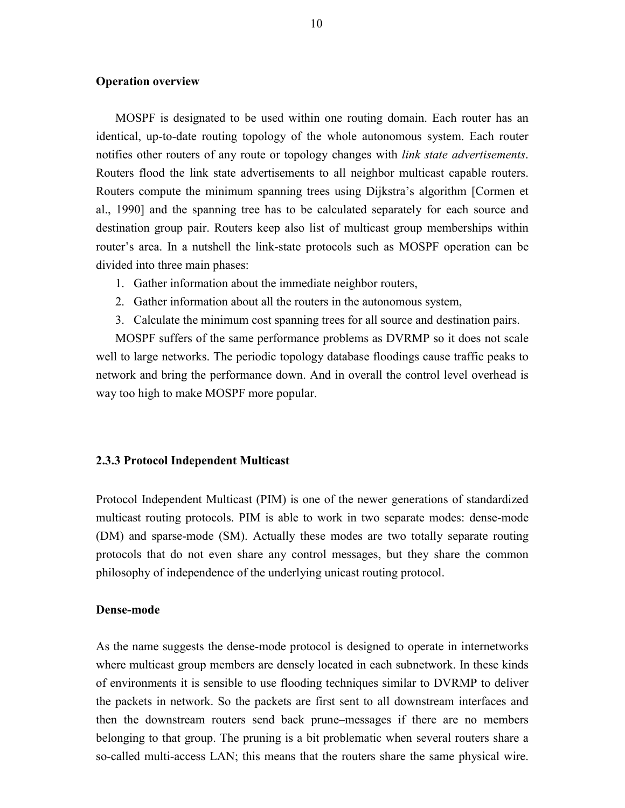#### **Operation overview**

MOSPF is designated to be used within one routing domain. Each router has an identical, up-to-date routing topology of the whole autonomous system. Each router notifies other routers of any route or topology changes with *link state advertisements*. Routers flood the link state advertisements to all neighbor multicast capable routers. Routers compute the minimum spanning trees using Dijkstra's algorithm [Cormen et al., 1990] and the spanning tree has to be calculated separately for each source and destination group pair. Routers keep also list of multicast group memberships within router's area. In a nutshell the link-state protocols such as MOSPF operation can be divided into three main phases:

- 1. Gather information about the immediate neighbor routers,
- 2. Gather information about all the routers in the autonomous system,
- 3. Calculate the minimum cost spanning trees for all source and destination pairs.

MOSPF suffers of the same performance problems as DVRMP so it does not scale well to large networks. The periodic topology database floodings cause traffic peaks to network and bring the performance down. And in overall the control level overhead is way too high to make MOSPF more popular.

#### **2.3.3 Protocol Independent Multicast**

Protocol Independent Multicast (PIM) is one of the newer generations of standardized multicast routing protocols. PIM is able to work in two separate modes: dense-mode (DM) and sparse-mode (SM). Actually these modes are two totally separate routing protocols that do not even share any control messages, but they share the common philosophy of independence of the underlying unicast routing protocol.

# **Dense-mode**

As the name suggests the dense-mode protocol is designed to operate in internetworks where multicast group members are densely located in each subnetwork. In these kinds of environments it is sensible to use flooding techniques similar to DVRMP to deliver the packets in network. So the packets are first sent to all downstream interfaces and then the downstream routers send back prune–messages if there are no members belonging to that group. The pruning is a bit problematic when several routers share a so-called multi-access LAN; this means that the routers share the same physical wire.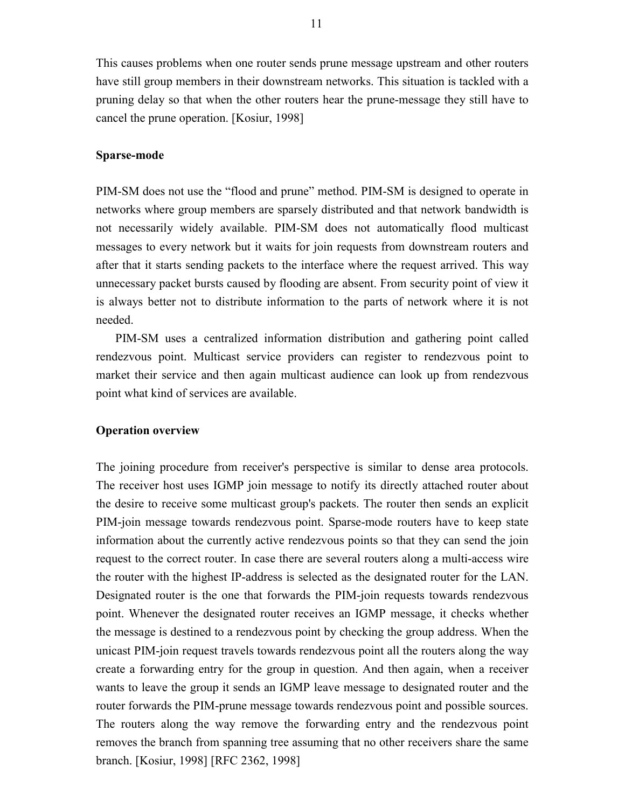This causes problems when one router sends prune message upstream and other routers have still group members in their downstream networks. This situation is tackled with a pruning delay so that when the other routers hear the prune-message they still have to cancel the prune operation. [Kosiur, 1998]

#### **Sparse-mode**

PIM-SM does not use the "flood and prune" method. PIM-SM is designed to operate in networks where group members are sparsely distributed and that network bandwidth is not necessarily widely available. PIM-SM does not automatically flood multicast messages to every network but it waits for join requests from downstream routers and after that it starts sending packets to the interface where the request arrived. This way unnecessary packet bursts caused by flooding are absent. From security point of view it is always better not to distribute information to the parts of network where it is not needed.

PIM-SM uses a centralized information distribution and gathering point called rendezvous point. Multicast service providers can register to rendezvous point to market their service and then again multicast audience can look up from rendezvous point what kind of services are available.

#### **Operation overview**

The joining procedure from receiver's perspective is similar to dense area protocols. The receiver host uses IGMP join message to notify its directly attached router about the desire to receive some multicast group's packets. The router then sends an explicit PIM-join message towards rendezvous point. Sparse-mode routers have to keep state information about the currently active rendezvous points so that they can send the join request to the correct router. In case there are several routers along a multi-access wire the router with the highest IP-address is selected as the designated router for the LAN. Designated router is the one that forwards the PIM-join requests towards rendezvous point. Whenever the designated router receives an IGMP message, it checks whether the message is destined to a rendezvous point by checking the group address. When the unicast PIM-join request travels towards rendezvous point all the routers along the way create a forwarding entry for the group in question. And then again, when a receiver wants to leave the group it sends an IGMP leave message to designated router and the router forwards the PIM-prune message towards rendezvous point and possible sources. The routers along the way remove the forwarding entry and the rendezvous point removes the branch from spanning tree assuming that no other receivers share the same branch. [Kosiur, 1998] [RFC 2362, 1998]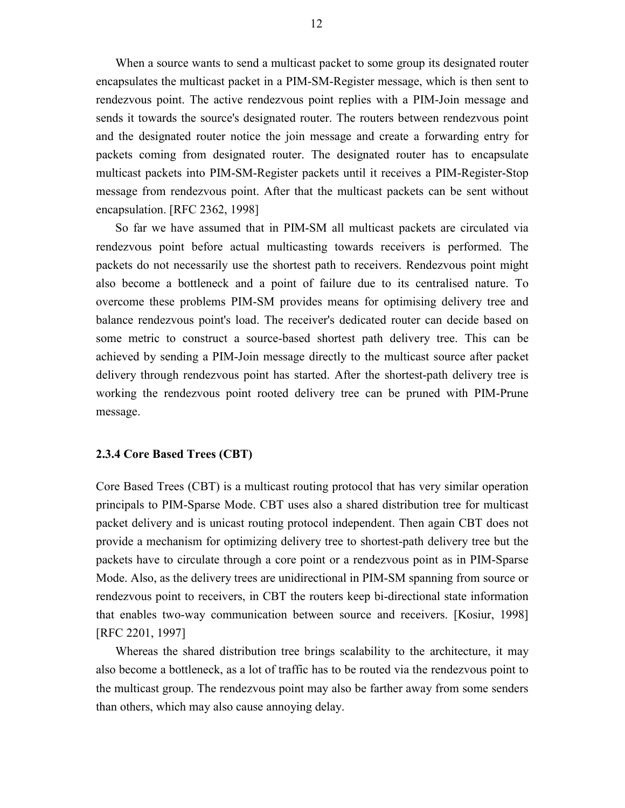When a source wants to send a multicast packet to some group its designated router encapsulates the multicast packet in a PIM-SM-Register message, which is then sent to rendezvous point. The active rendezvous point replies with a PIM-Join message and sends it towards the source's designated router. The routers between rendezvous point and the designated router notice the join message and create a forwarding entry for packets coming from designated router. The designated router has to encapsulate multicast packets into PIM-SM-Register packets until it receives a PIM-Register-Stop message from rendezvous point. After that the multicast packets can be sent without encapsulation. [RFC 2362, 1998]

So far we have assumed that in PIM-SM all multicast packets are circulated via rendezvous point before actual multicasting towards receivers is performed. The packets do not necessarily use the shortest path to receivers. Rendezvous point might also become a bottleneck and a point of failure due to its centralised nature. To overcome these problems PIM-SM provides means for optimising delivery tree and balance rendezvous point's load. The receiver's dedicated router can decide based on some metric to construct a source-based shortest path delivery tree. This can be achieved by sending a PIM-Join message directly to the multicast source after packet delivery through rendezvous point has started. After the shortest-path delivery tree is working the rendezvous point rooted delivery tree can be pruned with PIM-Prune message.

#### **2.3.4 Core Based Trees (CBT)**

Core Based Trees (CBT) is a multicast routing protocol that has very similar operation principals to PIM-Sparse Mode. CBT uses also a shared distribution tree for multicast packet delivery and is unicast routing protocol independent. Then again CBT does not provide a mechanism for optimizing delivery tree to shortest-path delivery tree but the packets have to circulate through a core point or a rendezvous point as in PIM-Sparse Mode. Also, as the delivery trees are unidirectional in PIM-SM spanning from source or rendezvous point to receivers, in CBT the routers keep bi-directional state information that enables two-way communication between source and receivers. [Kosiur, 1998] [RFC 2201, 1997]

Whereas the shared distribution tree brings scalability to the architecture, it may also become a bottleneck, as a lot of traffic has to be routed via the rendezvous point to the multicast group. The rendezvous point may also be farther away from some senders than others, which may also cause annoying delay.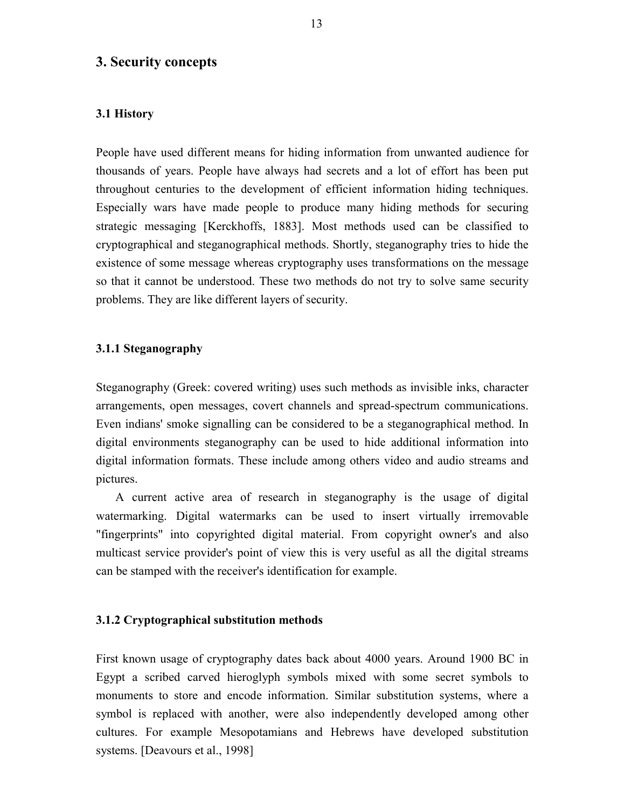# **3. Security concepts**

### **3.1 History**

People have used different means for hiding information from unwanted audience for thousands of years. People have always had secrets and a lot of effort has been put throughout centuries to the development of efficient information hiding techniques. Especially wars have made people to produce many hiding methods for securing strategic messaging [Kerckhoffs, 1883]. Most methods used can be classified to cryptographical and steganographical methods. Shortly, steganography tries to hide the existence of some message whereas cryptography uses transformations on the message so that it cannot be understood. These two methods do not try to solve same security problems. They are like different layers of security.

#### **3.1.1 Steganography**

Steganography (Greek: covered writing) uses such methods as invisible inks, character arrangements, open messages, covert channels and spread-spectrum communications. Even indians' smoke signalling can be considered to be a steganographical method. In digital environments steganography can be used to hide additional information into digital information formats. These include among others video and audio streams and pictures.

A current active area of research in steganography is the usage of digital watermarking. Digital watermarks can be used to insert virtually irremovable "fingerprints" into copyrighted digital material. From copyright owner's and also multicast service provider's point of view this is very useful as all the digital streams can be stamped with the receiver's identification for example.

#### **3.1.2 Cryptographical substitution methods**

First known usage of cryptography dates back about 4000 years. Around 1900 BC in Egypt a scribed carved hieroglyph symbols mixed with some secret symbols to monuments to store and encode information. Similar substitution systems, where a symbol is replaced with another, were also independently developed among other cultures. For example Mesopotamians and Hebrews have developed substitution systems. [Deavours et al., 1998]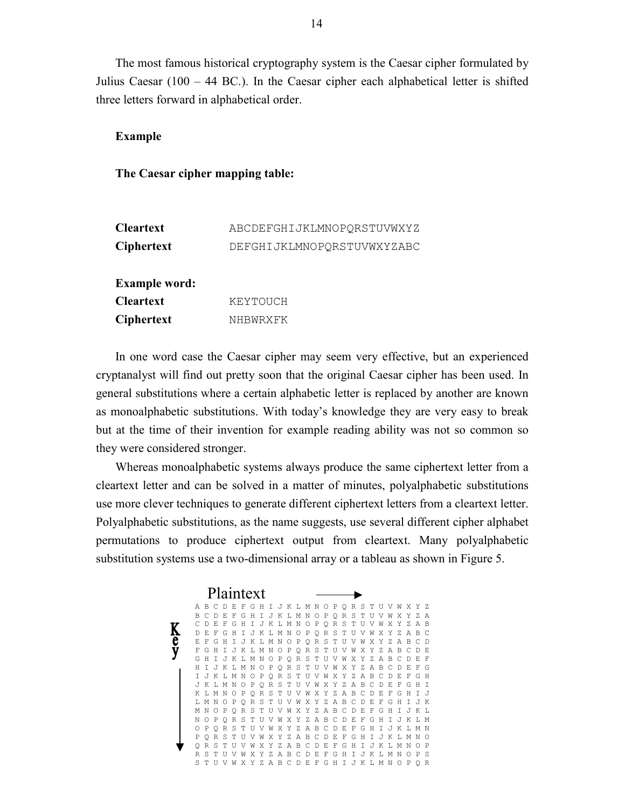The most famous historical cryptography system is the Caesar cipher formulated by Julius Caesar (100 – 44 BC.). In the Caesar cipher each alphabetical letter is shifted three letters forward in alphabetical order.

# **Example**

### **The Caesar cipher mapping table:**

| <b>Cleartext</b>     | ABCDEFGHIJKLMNOPORSTUVWXYZ |
|----------------------|----------------------------|
| <b>Ciphertext</b>    | DEFGHIJKLMNOPORSTUVWXYZABC |
| <b>Example word:</b> |                            |
| <b>Cleartext</b>     | KEYTOUCH                   |
| <b>Ciphertext</b>    | NHBWRXFK                   |

In one word case the Caesar cipher may seem very effective, but an experienced cryptanalyst will find out pretty soon that the original Caesar cipher has been used. In general substitutions where a certain alphabetic letter is replaced by another are known as monoalphabetic substitutions. With today's knowledge they are very easy to break but at the time of their invention for example reading ability was not so common so they were considered stronger.

Whereas monoalphabetic systems always produce the same ciphertext letter from a cleartext letter and can be solved in a matter of minutes, polyalphabetic substitutions use more clever techniques to generate different ciphertext letters from a cleartext letter. Polyalphabetic substitutions, as the name suggests, use several different cipher alphabet permutations to produce ciphertext output from cleartext. Many polyalphabetic substitution systems use a two-dimensional array or a tableau as shown in Figure 5.

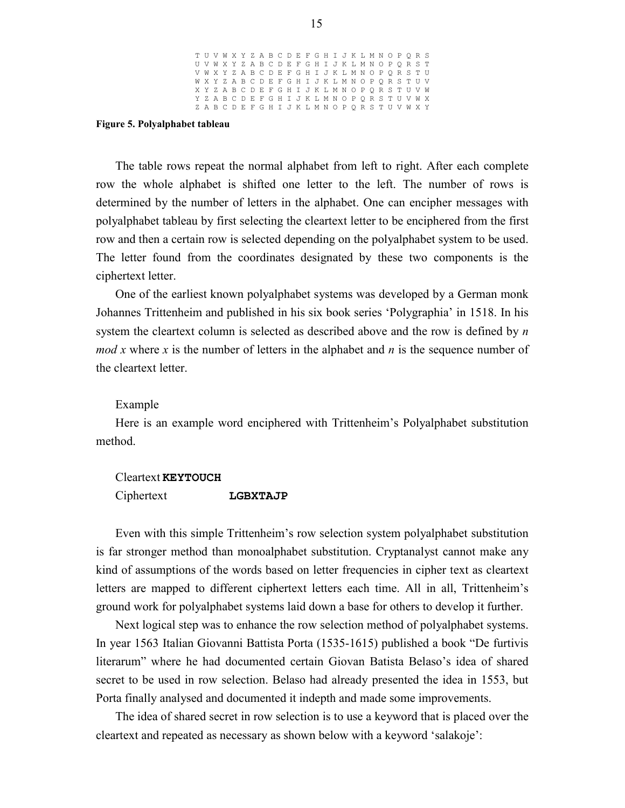|  | T U V W X Y Z A B C D E F G H I J K L M N O P O R S |  |  |  |  |  |  |  |  |  |  |  |  |
|--|-----------------------------------------------------|--|--|--|--|--|--|--|--|--|--|--|--|
|  | U V W X Y Z A B C D E F G H I J K L M N O P Q R S T |  |  |  |  |  |  |  |  |  |  |  |  |
|  | V W X Y Z A B C D E F G H I J K L M N O P O R S T U |  |  |  |  |  |  |  |  |  |  |  |  |
|  | W X Y Z A B C D E F G H I J K L M N O P O R S T U V |  |  |  |  |  |  |  |  |  |  |  |  |
|  | X Y Z A B C D E F G H I J K L M N O P O R S T U V W |  |  |  |  |  |  |  |  |  |  |  |  |
|  | Y Z A B C D E F G H I J K L M N O P O R S T U V W X |  |  |  |  |  |  |  |  |  |  |  |  |
|  | Z A B C D E F G H I J K L M N O P O R S T U V W X Y |  |  |  |  |  |  |  |  |  |  |  |  |
|  |                                                     |  |  |  |  |  |  |  |  |  |  |  |  |

#### **Figure 5. Polyalphabet tableau**

The table rows repeat the normal alphabet from left to right. After each complete row the whole alphabet is shifted one letter to the left. The number of rows is determined by the number of letters in the alphabet. One can encipher messages with polyalphabet tableau by first selecting the cleartext letter to be enciphered from the first row and then a certain row is selected depending on the polyalphabet system to be used. The letter found from the coordinates designated by these two components is the ciphertext letter.

One of the earliest known polyalphabet systems was developed by a German monk Johannes Trittenheim and published in his six book series 'Polygraphia' in 1518. In his system the cleartext column is selected as described above and the row is defined by *n mod x* where *x* is the number of letters in the alphabet and *n* is the sequence number of the cleartext letter.

#### Example

Here is an example word enciphered with Trittenheim's Polyalphabet substitution method.

#### Cleartext **KEYTOUCH**

```
Ciphertext LGBXTAJP
```
Even with this simple Trittenheim's row selection system polyalphabet substitution is far stronger method than monoalphabet substitution. Cryptanalyst cannot make any kind of assumptions of the words based on letter frequencies in cipher text as cleartext letters are mapped to different ciphertext letters each time. All in all, Trittenheim's ground work for polyalphabet systems laid down a base for others to develop it further.

Next logical step was to enhance the row selection method of polyalphabet systems. In year 1563 Italian Giovanni Battista Porta (1535-1615) published a book "De furtivis literarum" where he had documented certain Giovan Batista Belaso's idea of shared secret to be used in row selection. Belaso had already presented the idea in 1553, but Porta finally analysed and documented it indepth and made some improvements.

The idea of shared secret in row selection is to use a keyword that is placed over the cleartext and repeated as necessary as shown below with a keyword 'salakoje':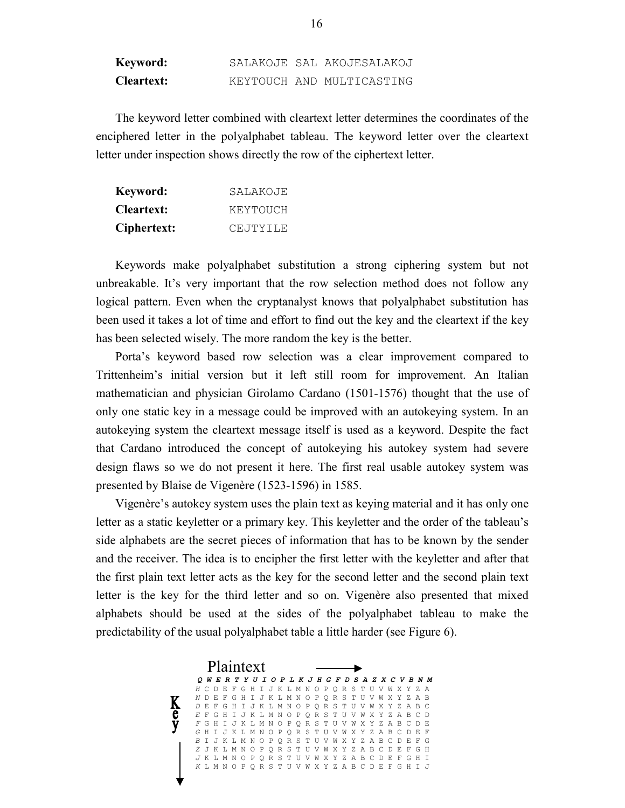| Keyword:          |  | SALAKOJE SAL AKOJESALAKOJ |
|-------------------|--|---------------------------|
| <b>Cleartext:</b> |  | KEYTOUCH AND MULTICASTING |

The keyword letter combined with cleartext letter determines the coordinates of the enciphered letter in the polyalphabet tableau. The keyword letter over the cleartext letter under inspection shows directly the row of the ciphertext letter.

| Keyword:          | SALAKOJE |
|-------------------|----------|
| <b>Cleartext:</b> | KEYTOUCH |
| Ciphertext:       | CEJTYILE |

Keywords make polyalphabet substitution a strong ciphering system but not unbreakable. It's very important that the row selection method does not follow any logical pattern. Even when the cryptanalyst knows that polyalphabet substitution has been used it takes a lot of time and effort to find out the key and the cleartext if the key has been selected wisely. The more random the key is the better.

Porta's keyword based row selection was a clear improvement compared to Trittenheim's initial version but it left still room for improvement. An Italian mathematician and physician Girolamo Cardano (1501-1576) thought that the use of only one static key in a message could be improved with an autokeying system. In an autokeying system the cleartext message itself is used as a keyword. Despite the fact that Cardano introduced the concept of autokeying his autokey system had severe design flaws so we do not present it here. The first real usable autokey system was presented by Blaise de Vigenère (1523-1596) in 1585.

Vigenère's autokey system uses the plain text as keying material and it has only one letter as a static keyletter or a primary key. This keyletter and the order of the tableau's side alphabets are the secret pieces of information that has to be known by the sender and the receiver. The idea is to encipher the first letter with the keyletter and after that the first plain text letter acts as the key for the second letter and the second plain text letter is the key for the third letter and so on. Vigenère also presented that mixed alphabets should be used at the sides of the polyalphabet tableau to make the predictability of the usual polyalphabet table a little harder (see Figure 6).

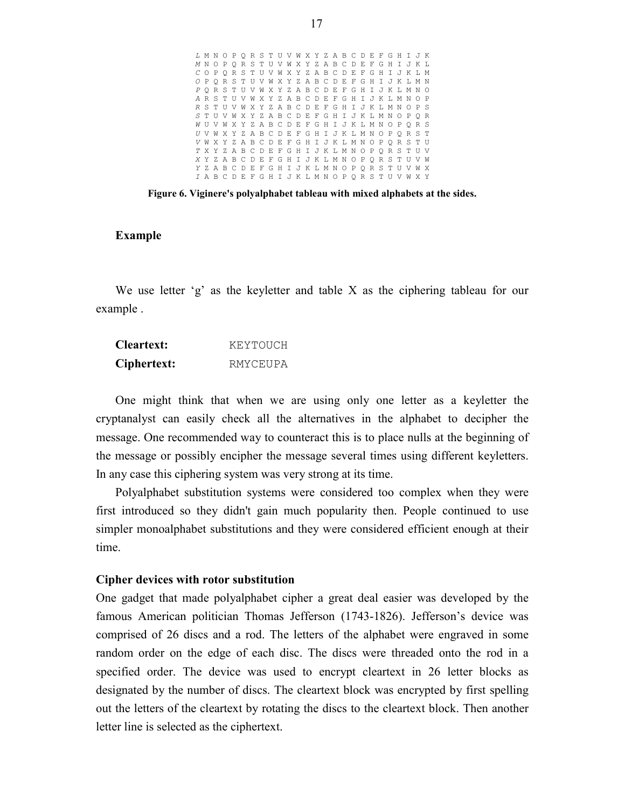|  | L M N O P Q R S T U V W X Y Z A B C D E F G H I J K |  |  |  |  |  |  |  |  |  |  |  |  |
|--|-----------------------------------------------------|--|--|--|--|--|--|--|--|--|--|--|--|
|  | MNOPQRSTUVWXYZABCDEFGHIJKL                          |  |  |  |  |  |  |  |  |  |  |  |  |
|  | COPORSTUVWXYZABCDEFGHIJKLM                          |  |  |  |  |  |  |  |  |  |  |  |  |
|  | O P O R S T U V W X Y Z A B C D E F G H I J K L M N |  |  |  |  |  |  |  |  |  |  |  |  |
|  | PORSTUVWXYZABCDEFGHIJKLMNO                          |  |  |  |  |  |  |  |  |  |  |  |  |
|  | ARSTUVWXYZABCDEFGHIJKLMNOP                          |  |  |  |  |  |  |  |  |  |  |  |  |
|  | R S T U V W X Y Z A B C D E F G H I J K L M N O P S |  |  |  |  |  |  |  |  |  |  |  |  |
|  | S T U V W X Y Z A B C D E F G H I J K L M N O P O R |  |  |  |  |  |  |  |  |  |  |  |  |
|  | WUVWXYZABCDEFGHIJKLMNOPORS                          |  |  |  |  |  |  |  |  |  |  |  |  |
|  | U V W X Y Z A B C D E F G H I J K L M N O P O R S T |  |  |  |  |  |  |  |  |  |  |  |  |
|  | V W X Y Z A B C D E F G H I J K L M N O P O R S T U |  |  |  |  |  |  |  |  |  |  |  |  |
|  | TXYZABCDEFGHIJKLMNOPORSTUV                          |  |  |  |  |  |  |  |  |  |  |  |  |
|  | XYZABCDEFGHIJKLMNOPORSTUVW                          |  |  |  |  |  |  |  |  |  |  |  |  |
|  | YZABCDEFGHIJKLMNOPORSTUVWX                          |  |  |  |  |  |  |  |  |  |  |  |  |
|  | I A B C D E F G H I J K L M N O P O R S T U V W X Y |  |  |  |  |  |  |  |  |  |  |  |  |
|  |                                                     |  |  |  |  |  |  |  |  |  |  |  |  |

**Figure 6. Viginere's polyalphabet tableau with mixed alphabets at the sides.**

# **Example**

We use letter 'g' as the keyletter and table X as the ciphering tableau for our example .

| <b>Cleartext:</b> | KEYTOUCH |
|-------------------|----------|
| Ciphertext:       | RMYCEUPA |

One might think that when we are using only one letter as a keyletter the cryptanalyst can easily check all the alternatives in the alphabet to decipher the message. One recommended way to counteract this is to place nulls at the beginning of the message or possibly encipher the message several times using different keyletters. In any case this ciphering system was very strong at its time.

Polyalphabet substitution systems were considered too complex when they were first introduced so they didn't gain much popularity then. People continued to use simpler monoalphabet substitutions and they were considered efficient enough at their time.

#### **Cipher devices with rotor substitution**

One gadget that made polyalphabet cipher a great deal easier was developed by the famous American politician Thomas Jefferson (1743-1826). Jefferson's device was comprised of 26 discs and a rod. The letters of the alphabet were engraved in some random order on the edge of each disc. The discs were threaded onto the rod in a specified order. The device was used to encrypt cleartext in 26 letter blocks as designated by the number of discs. The cleartext block was encrypted by first spelling out the letters of the cleartext by rotating the discs to the cleartext block. Then another letter line is selected as the ciphertext.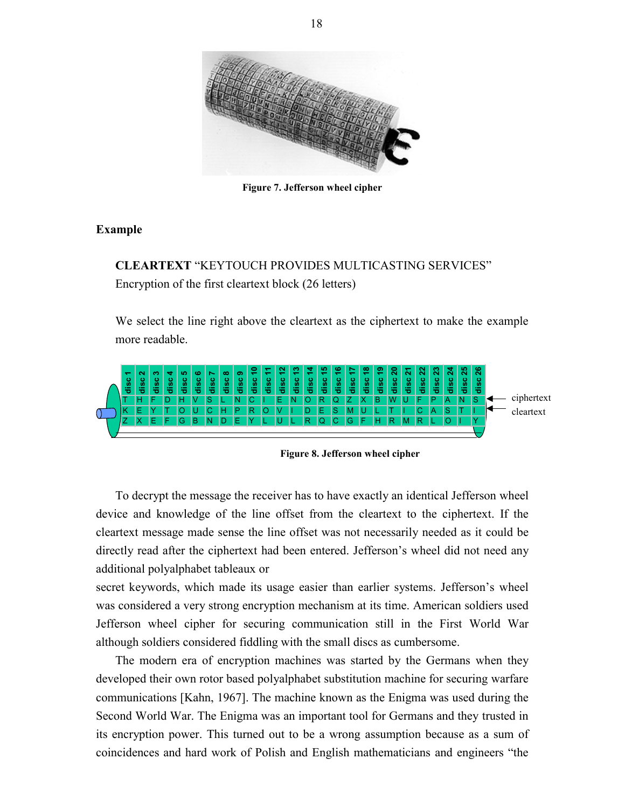

**Figure 7. Jefferson wheel cipher**

# **Example**

**CLEARTEXT** "KEYTOUCH PROVIDES MULTICASTING SERVICES" Encryption of the first cleartext block (26 letters)

We select the line right above the cleartext as the ciphertext to make the example more readable.



**Figure 8. Jefferson wheel cipher**

To decrypt the message the receiver has to have exactly an identical Jefferson wheel device and knowledge of the line offset from the cleartext to the ciphertext. If the cleartext message made sense the line offset was not necessarily needed as it could be directly read after the ciphertext had been entered. Jefferson's wheel did not need any additional polyalphabet tableaux or

secret keywords, which made its usage easier than earlier systems. Jefferson's wheel was considered a very strong encryption mechanism at its time. American soldiers used Jefferson wheel cipher for securing communication still in the First World War although soldiers considered fiddling with the small discs as cumbersome.

The modern era of encryption machines was started by the Germans when they developed their own rotor based polyalphabet substitution machine for securing warfare communications [Kahn, 1967]. The machine known as the Enigma was used during the Second World War. The Enigma was an important tool for Germans and they trusted in its encryption power. This turned out to be a wrong assumption because as a sum of **Example 19 Example 19 Example 19 Example 19 Example 19 Example 19 Example 19 Example 19 Example 19 Example 19 Example 19 Example 19 Example 19 Example 19 Example 19 Example 19 Example 19**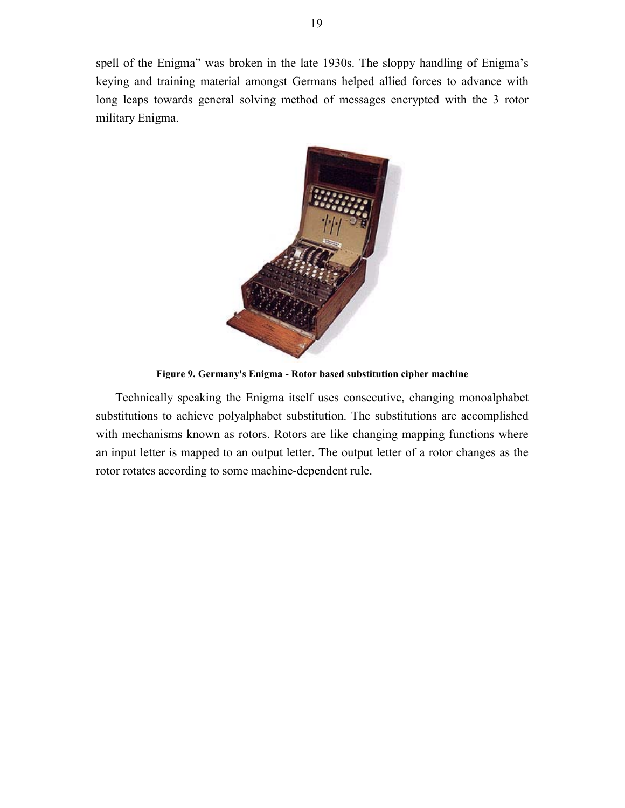spell of the Enigma" was broken in the late 1930s. The sloppy handling of Enigma's keying and training material amongst Germans helped allied forces to advance with long leaps towards general solving method of messages encrypted with the 3 rotor military Enigma.



**Figure 9. Germany's Enigma - Rotor based substitution cipher machine**

Technically speaking the Enigma itself uses consecutive, changing monoalphabet substitutions to achieve polyalphabet substitution. The substitutions are accomplished with mechanisms known as rotors. Rotors are like changing mapping functions where an input letter is mapped to an output letter. The output letter of a rotor changes as the rotor rotates according to some machine-dependent rule.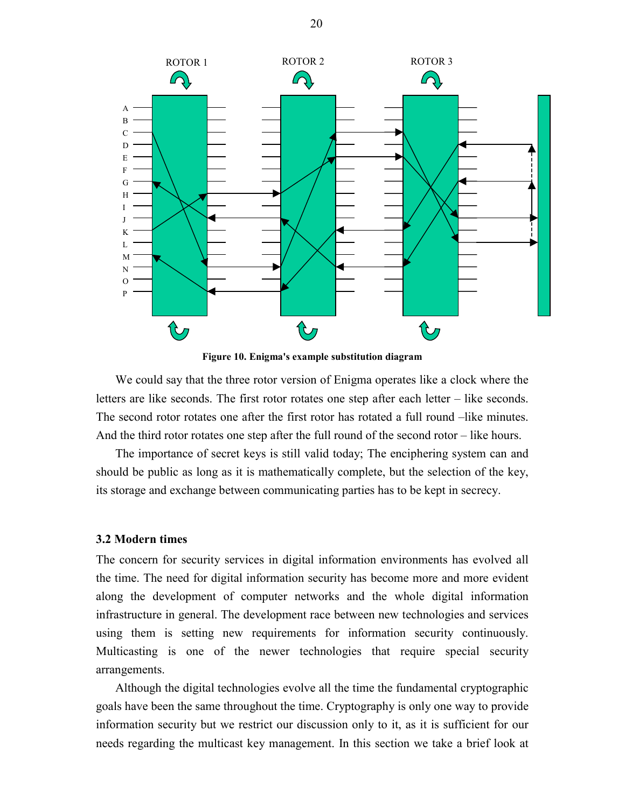

**Figure 10. Enigma's example substitution diagram**

We could say that the three rotor version of Enigma operates like a clock where the letters are like seconds. The first rotor rotates one step after each letter – like seconds. The second rotor rotates one after the first rotor has rotated a full round –like minutes. And the third rotor rotates one step after the full round of the second rotor – like hours.

The importance of secret keys is still valid today; The enciphering system can and should be public as long as it is mathematically complete, but the selection of the key, its storage and exchange between communicating parties has to be kept in secrecy.

#### **3.2 Modern times**

The concern for security services in digital information environments has evolved all the time. The need for digital information security has become more and more evident along the development of computer networks and the whole digital information infrastructure in general. The development race between new technologies and services using them is setting new requirements for information security continuously. Multicasting is one of the newer technologies that require special security arrangements.

Although the digital technologies evolve all the time the fundamental cryptographic goals have been the same throughout the time. Cryptography is only one way to provide information security but we restrict our discussion only to it, as it is sufficient for our needs regarding the multicast key management. In this section we take a brief look at

20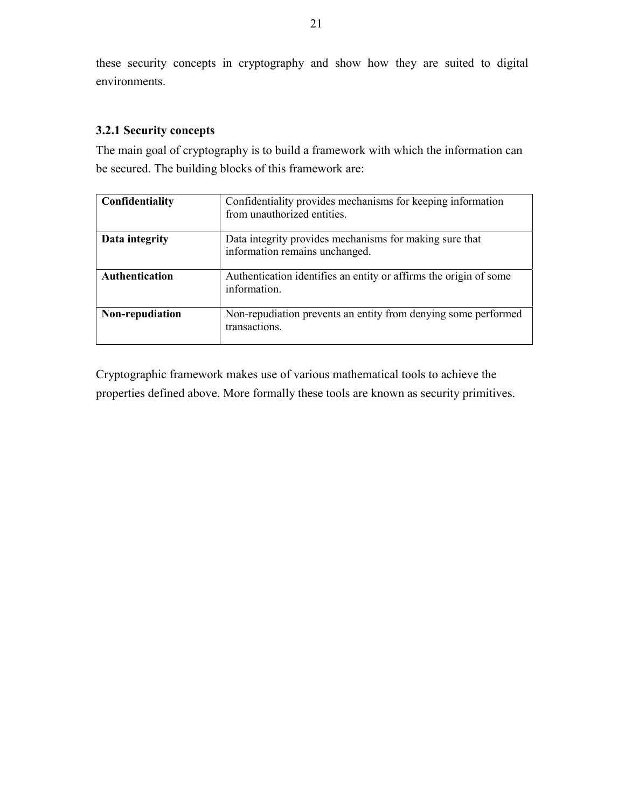these security concepts in cryptography and show how they are suited to digital environments.

# **3.2.1 Security concepts**

The main goal of cryptography is to build a framework with which the information can be secured. The building blocks of this framework are:

| Confidentiality       | Confidentiality provides mechanisms for keeping information<br>from unauthorized entities. |
|-----------------------|--------------------------------------------------------------------------------------------|
| Data integrity        | Data integrity provides mechanisms for making sure that<br>information remains unchanged.  |
| <b>Authentication</b> | Authentication identifies an entity or affirms the origin of some<br>information.          |
| Non-repudiation       | Non-repudiation prevents an entity from denying some performed<br>transactions.            |

Cryptographic framework makes use of various mathematical tools to achieve the properties defined above. More formally these tools are known as security primitives.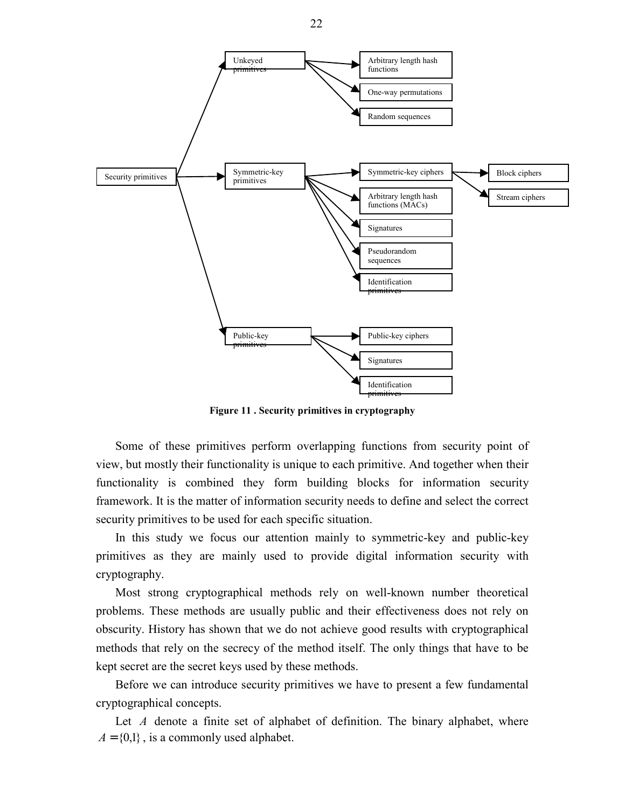

**Figure 11 . Security primitives in cryptography**

Some of these primitives perform overlapping functions from security point of view, but mostly their functionality is unique to each primitive. And together when their functionality is combined they form building blocks for information security framework. It is the matter of information security needs to define and select the correct security primitives to be used for each specific situation.

In this study we focus our attention mainly to symmetric-key and public-key primitives as they are mainly used to provide digital information security with cryptography.

Most strong cryptographical methods rely on well-known number theoretical problems. These methods are usually public and their effectiveness does not rely on obscurity. History has shown that we do not achieve good results with cryptographical methods that rely on the secrecy of the method itself. The only things that have to be kept secret are the secret keys used by these methods.

Before we can introduce security primitives we have to present a few fundamental cryptographical concepts.

Let *A* denote a finite set of alphabet of definition. The binary alphabet, where  $A = \{0,1\}$ , is a commonly used alphabet.

22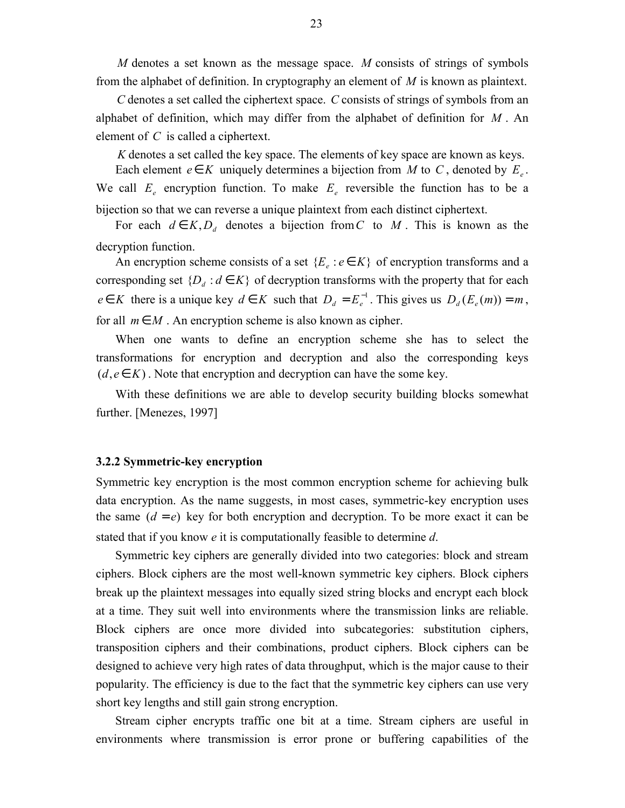*M* denotes a set known as the message space. *M* consists of strings of symbols from the alphabet of definition. In cryptography an element of *M* is known as plaintext.

*C* denotes a set called the ciphertext space. *C* consists of strings of symbols from an alphabet of definition, which may differ from the alphabet of definition for *M* . An element of *C* is called a ciphertext.

*K* denotes a set called the key space. The elements of key space are known as keys.

Each element  $e \in K$  uniquely determines a bijection from *M* to *C*, denoted by  $E_e$ . We call  $E_e$  encryption function. To make  $E_e$  reversible the function has to be a bijection so that we can reverse a unique plaintext from each distinct ciphertext.

For each  $d \in K$ ,  $D_d$  denotes a bijection from C to M. This is known as the decryption function.

An encryption scheme consists of a set  ${E_e : e \in K}$  of encryption transforms and a corresponding set  ${D_d : d \in K}$  of decryption transforms with the property that for each  $e \in K$  there is a unique key  $d \in K$  such that  $D_d = E_e^{-1}$ . This gives us  $D_d(E_e(m)) = m$ , for all  $m \in M$ . An encryption scheme is also known as cipher.

When one wants to define an encryption scheme she has to select the transformations for encryption and decryption and also the corresponding keys  $(d, e \in K)$ . Note that encryption and decryption can have the some key.

With these definitions we are able to develop security building blocks somewhat further. [Menezes, 1997]

### **3.2.2 Symmetric-key encryption**

Symmetric key encryption is the most common encryption scheme for achieving bulk data encryption. As the name suggests, in most cases, symmetric-key encryption uses the same  $(d = e)$  key for both encryption and decryption. To be more exact it can be stated that if you know *e* it is computationally feasible to determine *d*.

Symmetric key ciphers are generally divided into two categories: block and stream ciphers. Block ciphers are the most well-known symmetric key ciphers. Block ciphers break up the plaintext messages into equally sized string blocks and encrypt each block at a time. They suit well into environments where the transmission links are reliable. Block ciphers are once more divided into subcategories: substitution ciphers, transposition ciphers and their combinations, product ciphers. Block ciphers can be designed to achieve very high rates of data throughput, which is the major cause to their popularity. The efficiency is due to the fact that the symmetric key ciphers can use very short key lengths and still gain strong encryption.

Stream cipher encrypts traffic one bit at a time. Stream ciphers are useful in environments where transmission is error prone or buffering capabilities of the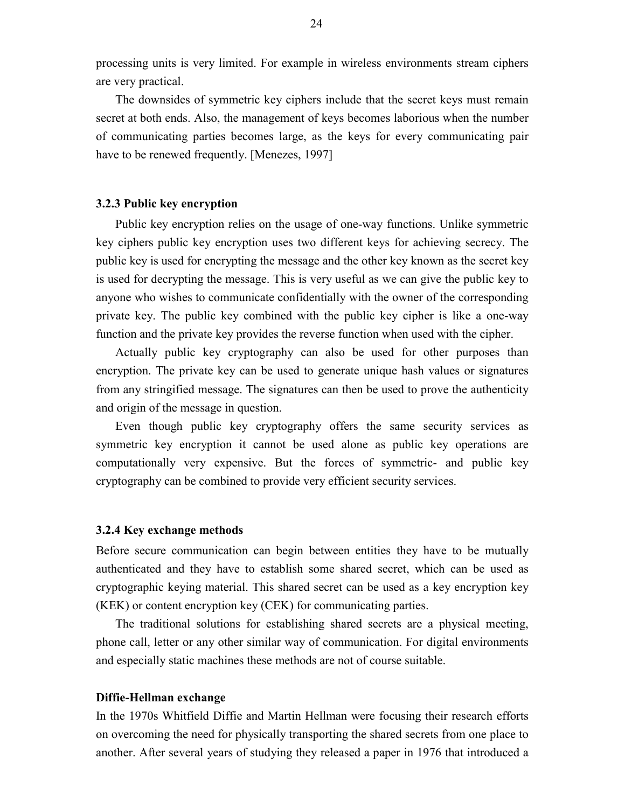processing units is very limited. For example in wireless environments stream ciphers are very practical.

The downsides of symmetric key ciphers include that the secret keys must remain secret at both ends. Also, the management of keys becomes laborious when the number of communicating parties becomes large, as the keys for every communicating pair have to be renewed frequently. [Menezes, 1997]

#### **3.2.3 Public key encryption**

Public key encryption relies on the usage of one-way functions. Unlike symmetric key ciphers public key encryption uses two different keys for achieving secrecy. The public key is used for encrypting the message and the other key known as the secret key is used for decrypting the message. This is very useful as we can give the public key to anyone who wishes to communicate confidentially with the owner of the corresponding private key. The public key combined with the public key cipher is like a one-way function and the private key provides the reverse function when used with the cipher.

Actually public key cryptography can also be used for other purposes than encryption. The private key can be used to generate unique hash values or signatures from any stringified message. The signatures can then be used to prove the authenticity and origin of the message in question.

Even though public key cryptography offers the same security services as symmetric key encryption it cannot be used alone as public key operations are computationally very expensive. But the forces of symmetric- and public key cryptography can be combined to provide very efficient security services.

#### **3.2.4 Key exchange methods**

Before secure communication can begin between entities they have to be mutually authenticated and they have to establish some shared secret, which can be used as cryptographic keying material. This shared secret can be used as a key encryption key (KEK) or content encryption key (CEK) for communicating parties.

The traditional solutions for establishing shared secrets are a physical meeting, phone call, letter or any other similar way of communication. For digital environments and especially static machines these methods are not of course suitable.

#### **Diffie-Hellman exchange**

In the 1970s Whitfield Diffie and Martin Hellman were focusing their research efforts on overcoming the need for physically transporting the shared secrets from one place to another. After several years of studying they released a paper in 1976 that introduced a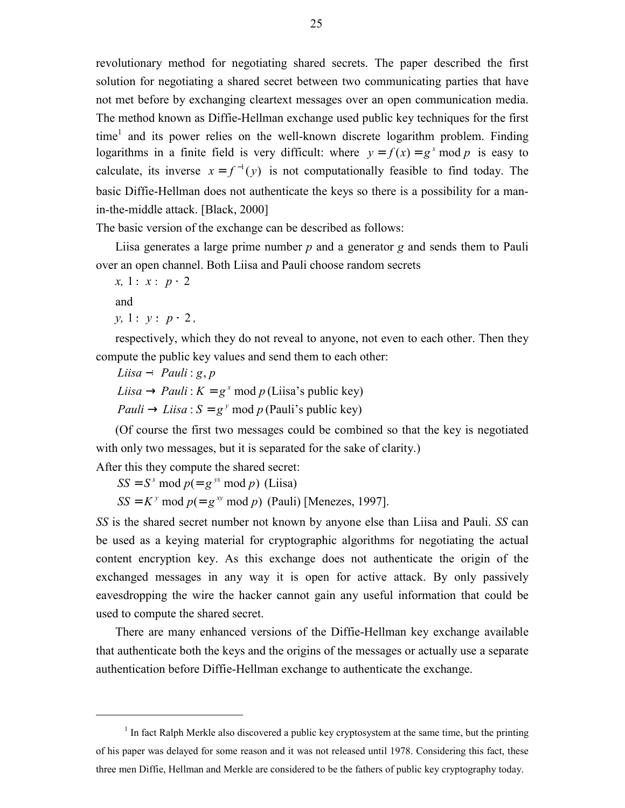revolutionary method for negotiating shared secrets. The paper described the first solution for negotiating a shared secret between two communicating parties that have not met before by exchanging cleartext messages over an open communication media. The method known as Diffie-Hellman exchange used public key techniques for the first  $time<sup>1</sup>$  and its power relies on the well-known discrete logarithm problem. Finding logarithms in a finite field is very difficult: where  $y = f(x) = g^x \mod p$  is easy to calculate, its inverse  $x = f^{-1}(y)$  is not computationally feasible to find today. The basic Diffie-Hellman does not authenticate the keys so there is a possibility for a manin-the-middle attack. [Black, 2000]

The basic version of the exchange can be described as follows:

Liisa generates a large prime number *p* and a generator *g* and sends them to Pauli over an open channel. Both Liisa and Pauli choose random secrets

*x*, 1 ≤ *x* ≤ *p* − 2 and *y*, 1 ≤ *y* ≤ *p* − 2,

1

respectively, which they do not reveal to anyone, not even to each other. Then they compute the public key values and send them to each other:

*Liisa* → *Pauli* : *g*, *p Liisa*  $\rightarrow$  *Pauli* :  $K = g^x \mod p$  (Liisa's public key) *Pauli*  $\rightarrow$  *Liisa* :  $S = g^y$  mod p (Pauli's public key)

(Of course the first two messages could be combined so that the key is negotiated with only two messages, but it is separated for the sake of clarity.)

After this they compute the shared secret:

 $SS = S^x \mod p = g^{yx} \mod p$  *(Liisa)* 

 $SS = K^y \mod p (= g^{xy} \mod p)$  *(Pauli) [Menezes, 1997].* 

*SS* is the shared secret number not known by anyone else than Liisa and Pauli. *SS* can be used as a keying material for cryptographic algorithms for negotiating the actual content encryption key. As this exchange does not authenticate the origin of the exchanged messages in any way it is open for active attack. By only passively eavesdropping the wire the hacker cannot gain any useful information that could be used to compute the shared secret.

There are many enhanced versions of the Diffie-Hellman key exchange available that authenticate both the keys and the origins of the messages or actually use a separate authentication before Diffie-Hellman exchange to authenticate the exchange.

 $<sup>1</sup>$  In fact Ralph Merkle also discovered a public key cryptosystem at the same time, but the printing</sup> of his paper was delayed for some reason and it was not released until 1978. Considering this fact, these three men Diffie, Hellman and Merkle are considered to be the fathers of public key cryptography today.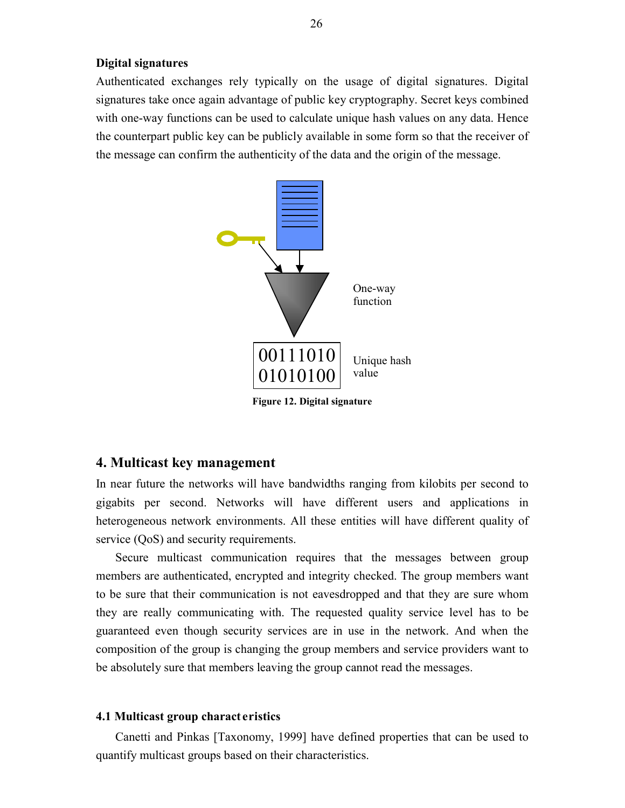# **Digital signatures**

Authenticated exchanges rely typically on the usage of digital signatures. Digital signatures take once again advantage of public key cryptography. Secret keys combined with one-way functions can be used to calculate unique hash values on any data. Hence the counterpart public key can be publicly available in some form so that the receiver of the message can confirm the authenticity of the data and the origin of the message.



# **4. Multicast key management**

In near future the networks will have bandwidths ranging from kilobits per second to gigabits per second. Networks will have different users and applications in heterogeneous network environments. All these entities will have different quality of service (QoS) and security requirements.

Secure multicast communication requires that the messages between group members are authenticated, encrypted and integrity checked. The group members want to be sure that their communication is not eavesdropped and that they are sure whom they are really communicating with. The requested quality service level has to be guaranteed even though security services are in use in the network. And when the composition of the group is changing the group members and service providers want to be absolutely sure that members leaving the group cannot read the messages.

#### **4.1 Multicast group charact eristics**

Canetti and Pinkas [Taxonomy, 1999] have defined properties that can be used to quantify multicast groups based on their characteristics.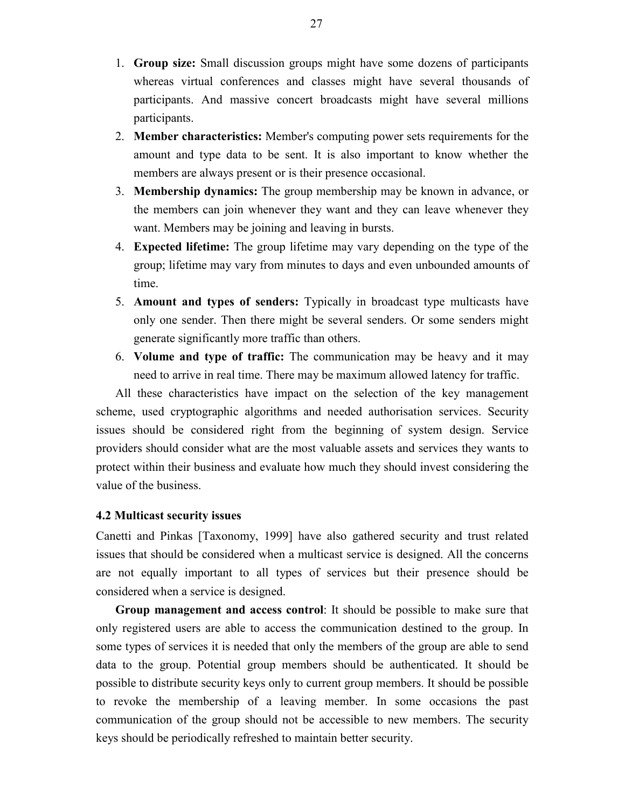- 1. **Group size:** Small discussion groups might have some dozens of participants whereas virtual conferences and classes might have several thousands of participants. And massive concert broadcasts might have several millions participants.
- 2. **Member characteristics:** Member's computing power sets requirements for the amount and type data to be sent. It is also important to know whether the members are always present or is their presence occasional.
- 3. **Membership dynamics:** The group membership may be known in advance, or the members can join whenever they want and they can leave whenever they want. Members may be joining and leaving in bursts.
- 4. **Expected lifetime:** The group lifetime may vary depending on the type of the group; lifetime may vary from minutes to days and even unbounded amounts of time.
- 5. **Amount and types of senders:** Typically in broadcast type multicasts have only one sender. Then there might be several senders. Or some senders might generate significantly more traffic than others.
- 6. **Volume and type of traffic:** The communication may be heavy and it may need to arrive in real time. There may be maximum allowed latency for traffic.

All these characteristics have impact on the selection of the key management scheme, used cryptographic algorithms and needed authorisation services. Security issues should be considered right from the beginning of system design. Service providers should consider what are the most valuable assets and services they wants to protect within their business and evaluate how much they should invest considering the value of the business.

# **4.2 Multicast security issues**

Canetti and Pinkas [Taxonomy, 1999] have also gathered security and trust related issues that should be considered when a multicast service is designed. All the concerns are not equally important to all types of services but their presence should be considered when a service is designed.

**Group management and access control**: It should be possible to make sure that only registered users are able to access the communication destined to the group. In some types of services it is needed that only the members of the group are able to send data to the group. Potential group members should be authenticated. It should be possible to distribute security keys only to current group members. It should be possible to revoke the membership of a leaving member. In some occasions the past communication of the group should not be accessible to new members. The security keys should be periodically refreshed to maintain better security.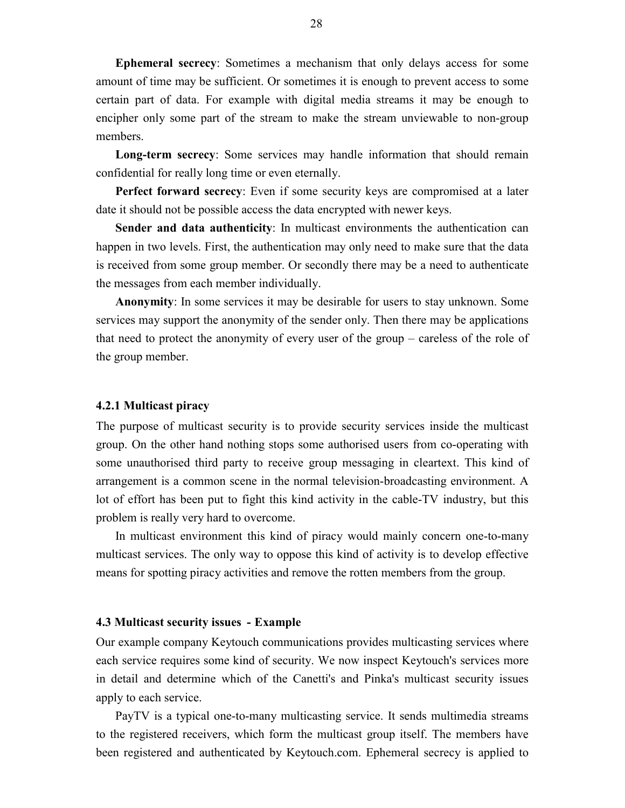**Ephemeral secrecy**: Sometimes a mechanism that only delays access for some amount of time may be sufficient. Or sometimes it is enough to prevent access to some certain part of data. For example with digital media streams it may be enough to encipher only some part of the stream to make the stream unviewable to non-group members.

**Long-term secrecy**: Some services may handle information that should remain confidential for really long time or even eternally.

**Perfect forward secrecy**: Even if some security keys are compromised at a later date it should not be possible access the data encrypted with newer keys.

**Sender and data authenticity**: In multicast environments the authentication can happen in two levels. First, the authentication may only need to make sure that the data is received from some group member. Or secondly there may be a need to authenticate the messages from each member individually.

**Anonymity**: In some services it may be desirable for users to stay unknown. Some services may support the anonymity of the sender only. Then there may be applications that need to protect the anonymity of every user of the group – careless of the role of the group member.

#### **4.2.1 Multicast piracy**

The purpose of multicast security is to provide security services inside the multicast group. On the other hand nothing stops some authorised users from co-operating with some unauthorised third party to receive group messaging in cleartext. This kind of arrangement is a common scene in the normal television-broadcasting environment. A lot of effort has been put to fight this kind activity in the cable-TV industry, but this problem is really very hard to overcome.

In multicast environment this kind of piracy would mainly concern one-to-many multicast services. The only way to oppose this kind of activity is to develop effective means for spotting piracy activities and remove the rotten members from the group.

#### **4.3 Multicast security issues - Example**

Our example company Keytouch communications provides multicasting services where each service requires some kind of security. We now inspect Keytouch's services more in detail and determine which of the Canetti's and Pinka's multicast security issues apply to each service.

PayTV is a typical one-to-many multicasting service. It sends multimedia streams to the registered receivers, which form the multicast group itself. The members have been registered and authenticated by Keytouch.com. Ephemeral secrecy is applied to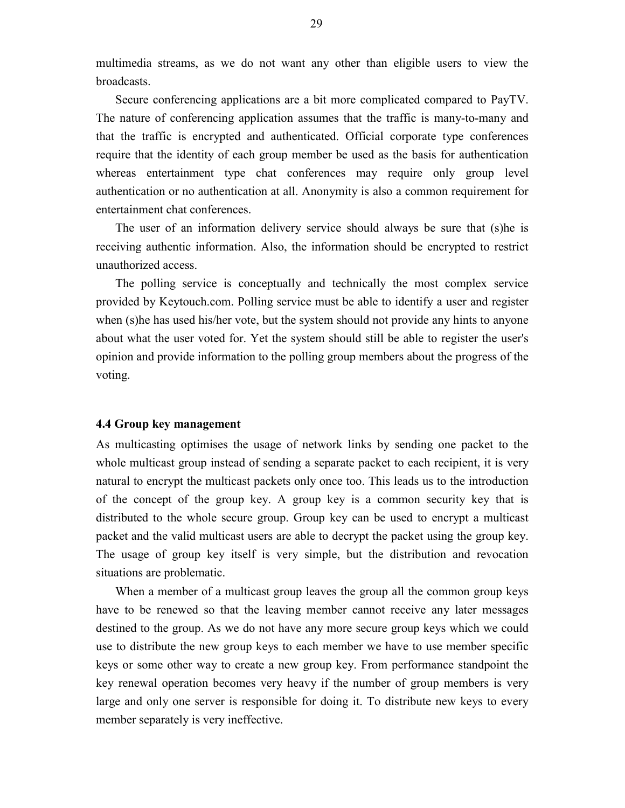multimedia streams, as we do not want any other than eligible users to view the broadcasts.

Secure conferencing applications are a bit more complicated compared to PayTV. The nature of conferencing application assumes that the traffic is many-to-many and that the traffic is encrypted and authenticated. Official corporate type conferences require that the identity of each group member be used as the basis for authentication whereas entertainment type chat conferences may require only group level authentication or no authentication at all. Anonymity is also a common requirement for entertainment chat conferences.

The user of an information delivery service should always be sure that (s)he is receiving authentic information. Also, the information should be encrypted to restrict unauthorized access.

The polling service is conceptually and technically the most complex service provided by Keytouch.com. Polling service must be able to identify a user and register when (s)he has used his/her vote, but the system should not provide any hints to anyone about what the user voted for. Yet the system should still be able to register the user's opinion and provide information to the polling group members about the progress of the voting.

#### **4.4 Group key management**

As multicasting optimises the usage of network links by sending one packet to the whole multicast group instead of sending a separate packet to each recipient, it is very natural to encrypt the multicast packets only once too. This leads us to the introduction of the concept of the group key. A group key is a common security key that is distributed to the whole secure group. Group key can be used to encrypt a multicast packet and the valid multicast users are able to decrypt the packet using the group key. The usage of group key itself is very simple, but the distribution and revocation situations are problematic.

When a member of a multicast group leaves the group all the common group keys have to be renewed so that the leaving member cannot receive any later messages destined to the group. As we do not have any more secure group keys which we could use to distribute the new group keys to each member we have to use member specific keys or some other way to create a new group key. From performance standpoint the key renewal operation becomes very heavy if the number of group members is very large and only one server is responsible for doing it. To distribute new keys to every member separately is very ineffective.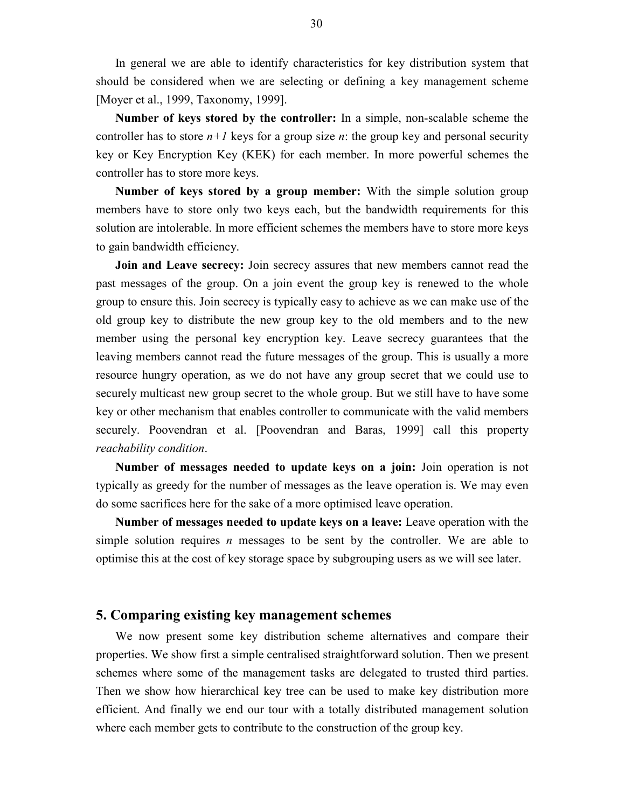In general we are able to identify characteristics for key distribution system that should be considered when we are selecting or defining a key management scheme [Moyer et al., 1999, Taxonomy, 1999].

**Number of keys stored by the controller:** In a simple, non-scalable scheme the controller has to store  $n+1$  keys for a group size *n*: the group key and personal security key or Key Encryption Key (KEK) for each member. In more powerful schemes the controller has to store more keys.

**Number of keys stored by a group member:** With the simple solution group members have to store only two keys each, but the bandwidth requirements for this solution are intolerable. In more efficient schemes the members have to store more keys to gain bandwidth efficiency.

**Join and Leave secrecy:** Join secrecy assures that new members cannot read the past messages of the group. On a join event the group key is renewed to the whole group to ensure this. Join secrecy is typically easy to achieve as we can make use of the old group key to distribute the new group key to the old members and to the new member using the personal key encryption key. Leave secrecy guarantees that the leaving members cannot read the future messages of the group. This is usually a more resource hungry operation, as we do not have any group secret that we could use to securely multicast new group secret to the whole group. But we still have to have some key or other mechanism that enables controller to communicate with the valid members securely. Poovendran et al. [Poovendran and Baras, 1999] call this property *reachability condition*.

**Number of messages needed to update keys on a join:** Join operation is not typically as greedy for the number of messages as the leave operation is. We may even do some sacrifices here for the sake of a more optimised leave operation.

**Number of messages needed to update keys on a leave:** Leave operation with the simple solution requires *n* messages to be sent by the controller. We are able to optimise this at the cost of key storage space by subgrouping users as we will see later.

# **5. Comparing existing key management schemes**

We now present some key distribution scheme alternatives and compare their properties. We show first a simple centralised straightforward solution. Then we present schemes where some of the management tasks are delegated to trusted third parties. Then we show how hierarchical key tree can be used to make key distribution more efficient. And finally we end our tour with a totally distributed management solution where each member gets to contribute to the construction of the group key.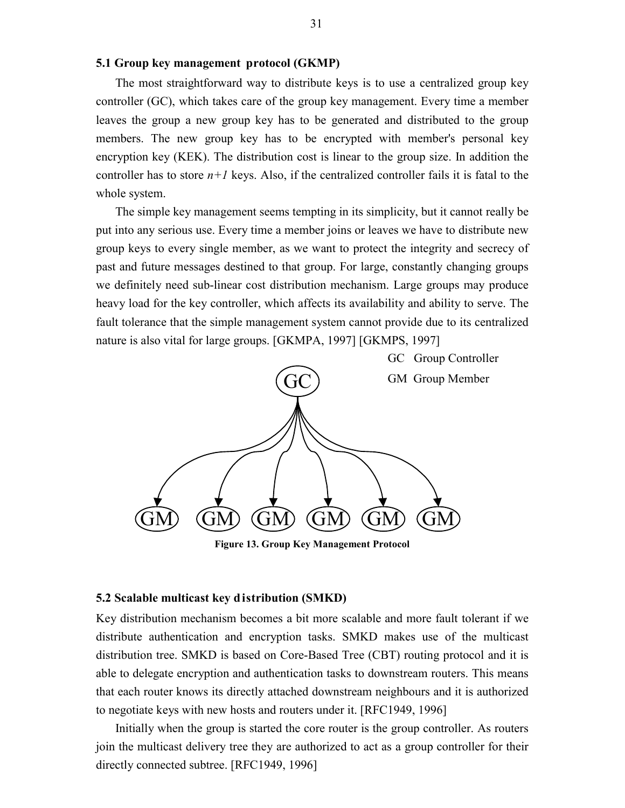#### **5.1 Group key management protocol (GKMP)**

The most straightforward way to distribute keys is to use a centralized group key controller (GC), which takes care of the group key management. Every time a member leaves the group a new group key has to be generated and distributed to the group members. The new group key has to be encrypted with member's personal key encryption key (KEK). The distribution cost is linear to the group size. In addition the controller has to store  $n+1$  keys. Also, if the centralized controller fails it is fatal to the whole system.

The simple key management seems tempting in its simplicity, but it cannot really be put into any serious use. Every time a member joins or leaves we have to distribute new group keys to every single member, as we want to protect the integrity and secrecy of past and future messages destined to that group. For large, constantly changing groups we definitely need sub-linear cost distribution mechanism. Large groups may produce heavy load for the key controller, which affects its availability and ability to serve. The fault tolerance that the simple management system cannot provide due to its centralized nature is also vital for large groups. [GKMPA, 1997] [GKMPS, 1997]



**Figure 13. Group Key Management Protocol**

#### **5.2 Scalable multicast key distribution (SMKD)**

Key distribution mechanism becomes a bit more scalable and more fault tolerant if we distribute authentication and encryption tasks. SMKD makes use of the multicast distribution tree. SMKD is based on Core-Based Tree (CBT) routing protocol and it is able to delegate encryption and authentication tasks to downstream routers. This means that each router knows its directly attached downstream neighbours and it is authorized to negotiate keys with new hosts and routers under it. [RFC1949, 1996]

Initially when the group is started the core router is the group controller. As routers join the multicast delivery tree they are authorized to act as a group controller for their directly connected subtree. [RFC1949, 1996]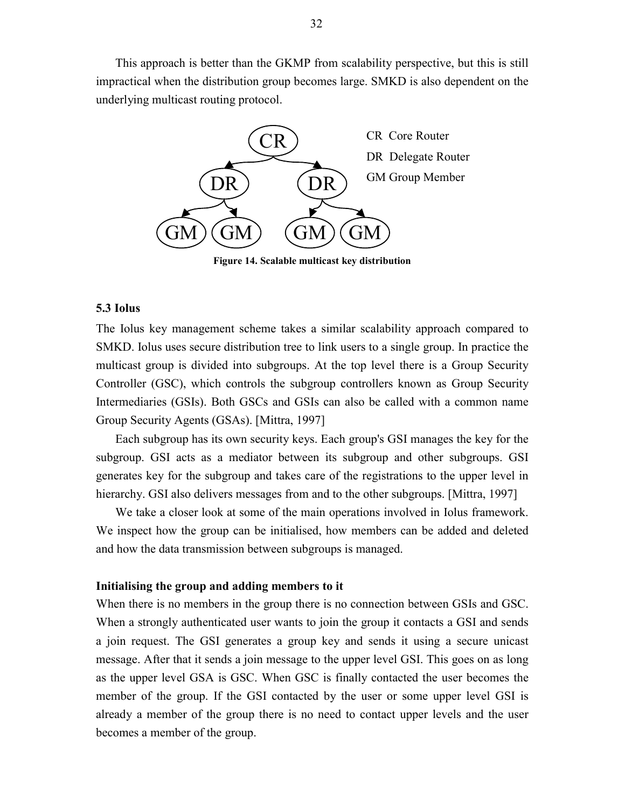This approach is better than the GKMP from scalability perspective, but this is still impractical when the distribution group becomes large. SMKD is also dependent on the underlying multicast routing protocol.



**Figure 14. Scalable multicast key distribution**

# **5.3 Iolus**

The Iolus key management scheme takes a similar scalability approach compared to SMKD. Iolus uses secure distribution tree to link users to a single group. In practice the multicast group is divided into subgroups. At the top level there is a Group Security Controller (GSC), which controls the subgroup controllers known as Group Security Intermediaries (GSIs). Both GSCs and GSIs can also be called with a common name Group Security Agents (GSAs). [Mittra, 1997]

Each subgroup has its own security keys. Each group's GSI manages the key for the subgroup. GSI acts as a mediator between its subgroup and other subgroups. GSI generates key for the subgroup and takes care of the registrations to the upper level in hierarchy. GSI also delivers messages from and to the other subgroups. [Mittra, 1997]

We take a closer look at some of the main operations involved in Iolus framework. We inspect how the group can be initialised, how members can be added and deleted and how the data transmission between subgroups is managed.

#### **Initialising the group and adding members to it**

When there is no members in the group there is no connection between GSIs and GSC. When a strongly authenticated user wants to join the group it contacts a GSI and sends a join request. The GSI generates a group key and sends it using a secure unicast message. After that it sends a join message to the upper level GSI. This goes on as long as the upper level GSA is GSC. When GSC is finally contacted the user becomes the member of the group. If the GSI contacted by the user or some upper level GSI is already a member of the group there is no need to contact upper levels and the user becomes a member of the group.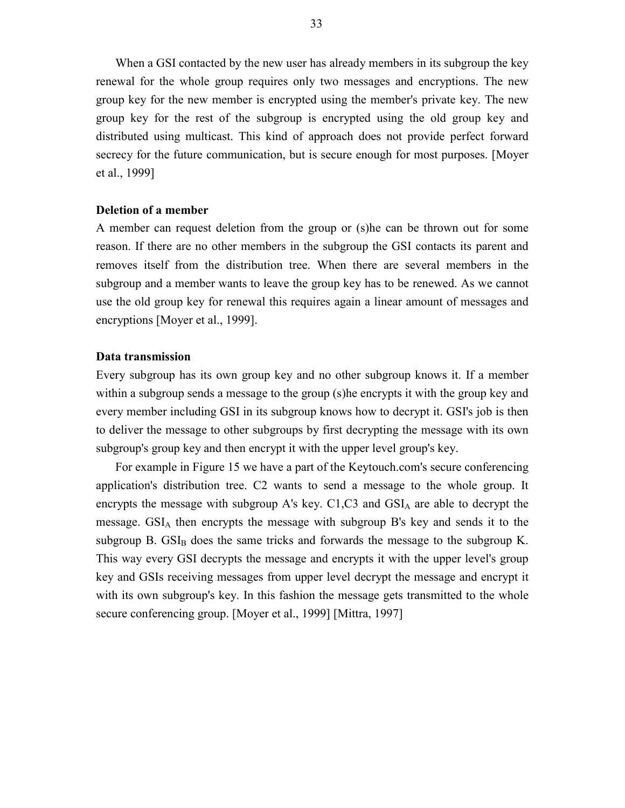When a GSI contacted by the new user has already members in its subgroup the key renewal for the whole group requires only two messages and encryptions. The new group key for the new member is encrypted using the member's private key. The new group key for the rest of the subgroup is encrypted using the old group key and distributed using multicast. This kind of approach does not provide perfect forward secrecy for the future communication, but is secure enough for most purposes. [Moyer et al., 1999]

#### **Deletion of a member**

A member can request deletion from the group or (s)he can be thrown out for some reason. If there are no other members in the subgroup the GSI contacts its parent and removes itself from the distribution tree. When there are several members in the subgroup and a member wants to leave the group key has to be renewed. As we cannot use the old group key for renewal this requires again a linear amount of messages and encryptions [Moyer et al., 1999].

### **Data transmission**

Every subgroup has its own group key and no other subgroup knows it. If a member within a subgroup sends a message to the group (s)he encrypts it with the group key and every member including GSI in its subgroup knows how to decrypt it. GSI's job is then to deliver the message to other subgroups by first decrypting the message with its own subgroup's group key and then encrypt it with the upper level group's key.

For example in Figure 15 we have a part of the Keytouch.com's secure conferencing application's distribution tree. C2 wants to send a message to the whole group. It encrypts the message with subgroup A's key.  $C1$ , $C3$  and  $GSI<sub>A</sub>$  are able to decrypt the message. GSIA then encrypts the message with subgroup B's key and sends it to the subgroup B.  $GSI<sub>B</sub>$  does the same tricks and forwards the message to the subgroup K. This way every GSI decrypts the message and encrypts it with the upper level's group key and GSIs receiving messages from upper level decrypt the message and encrypt it with its own subgroup's key. In this fashion the message gets transmitted to the whole secure conferencing group. [Moyer et al., 1999] [Mittra, 1997]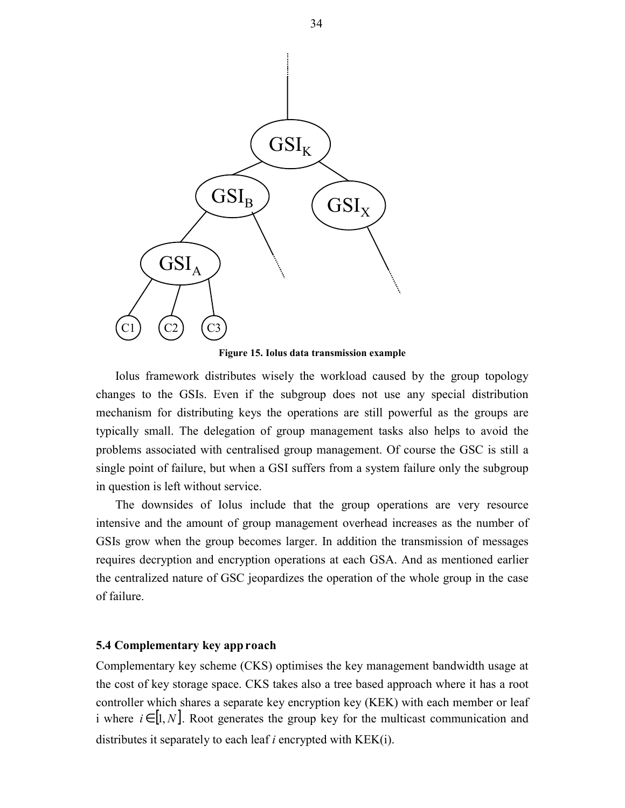

**Figure 15. Iolus data transmission example**

Iolus framework distributes wisely the workload caused by the group topology changes to the GSIs. Even if the subgroup does not use any special distribution mechanism for distributing keys the operations are still powerful as the groups are typically small. The delegation of group management tasks also helps to avoid the problems associated with centralised group management. Of course the GSC is still a single point of failure, but when a GSI suffers from a system failure only the subgroup in question is left without service.

The downsides of Iolus include that the group operations are very resource intensive and the amount of group management overhead increases as the number of GSIs grow when the group becomes larger. In addition the transmission of messages requires decryption and encryption operations at each GSA. And as mentioned earlier the centralized nature of GSC jeopardizes the operation of the whole group in the case of failure.

#### **5.4 Complementary key app roach**

Complementary key scheme (CKS) optimises the key management bandwidth usage at the cost of key storage space. CKS takes also a tree based approach where it has a root controller which shares a separate key encryption key (KEK) with each member or leaf i where  $i \in [1, N]$ . Root generates the group key for the multicast communication and distributes it separately to each leaf *i* encrypted with KEK(i).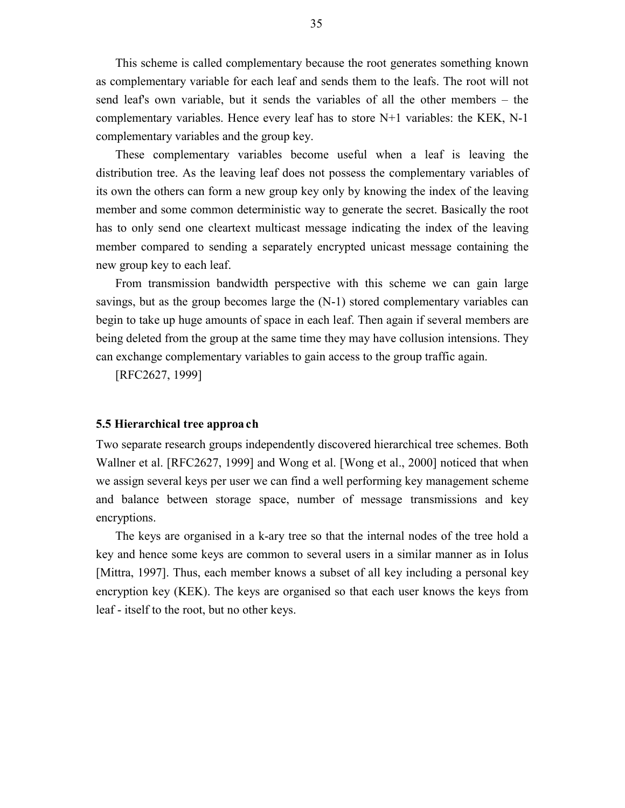This scheme is called complementary because the root generates something known as complementary variable for each leaf and sends them to the leafs. The root will not send leaf's own variable, but it sends the variables of all the other members – the complementary variables. Hence every leaf has to store N+1 variables: the KEK, N-1 complementary variables and the group key.

These complementary variables become useful when a leaf is leaving the distribution tree. As the leaving leaf does not possess the complementary variables of its own the others can form a new group key only by knowing the index of the leaving member and some common deterministic way to generate the secret. Basically the root has to only send one cleartext multicast message indicating the index of the leaving member compared to sending a separately encrypted unicast message containing the new group key to each leaf.

From transmission bandwidth perspective with this scheme we can gain large savings, but as the group becomes large the (N-1) stored complementary variables can begin to take up huge amounts of space in each leaf. Then again if several members are being deleted from the group at the same time they may have collusion intensions. They can exchange complementary variables to gain access to the group traffic again.

[RFC2627, 1999]

#### **5.5 Hierarchical tree approa ch**

Two separate research groups independently discovered hierarchical tree schemes. Both Wallner et al. [RFC2627, 1999] and Wong et al. [Wong et al., 2000] noticed that when we assign several keys per user we can find a well performing key management scheme and balance between storage space, number of message transmissions and key encryptions.

The keys are organised in a k-ary tree so that the internal nodes of the tree hold a key and hence some keys are common to several users in a similar manner as in Iolus [Mittra, 1997]. Thus, each member knows a subset of all key including a personal key encryption key (KEK). The keys are organised so that each user knows the keys from leaf - itself to the root, but no other keys.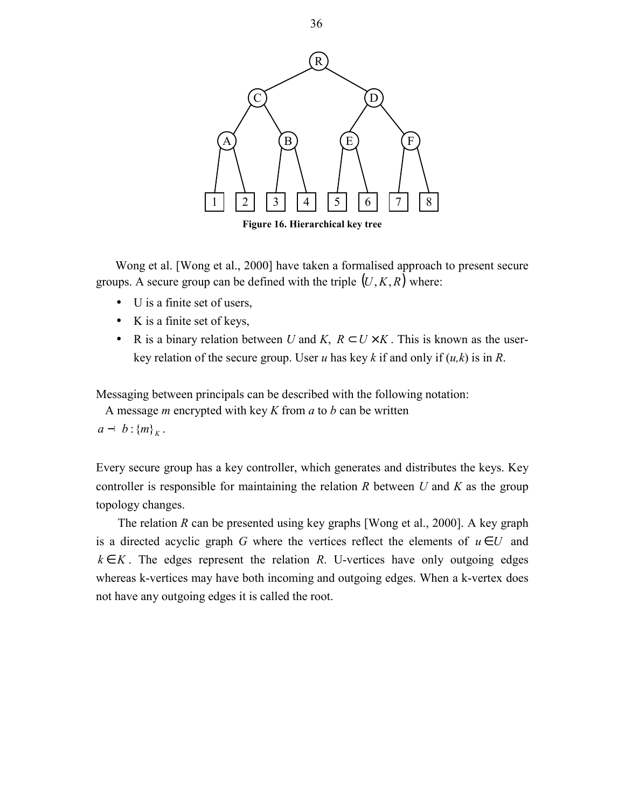

Wong et al. [Wong et al., 2000] have taken a formalised approach to present secure groups. A secure group can be defined with the triple  $(U, K, R)$  where:

- U is a finite set of users,
- K is a finite set of keys,
- R is a binary relation between *U* and *K*,  $R \subset U \times K$ . This is known as the userkey relation of the secure group. User *u* has key *k* if and only if (*u,k*) is in *R*.

Messaging between principals can be described with the following notation:

A message *m* encrypted with key *K* from *a* to *b* can be written

 $a - b : \{m\}_K$ .

Every secure group has a key controller, which generates and distributes the keys. Key controller is responsible for maintaining the relation *R* between *U* and *K* as the group topology changes.

The relation *R* can be presented using key graphs [Wong et al., 2000]. A key graph is a directed acyclic graph *G* where the vertices reflect the elements of  $u \in U$  and  $k \in K$ . The edges represent the relation *R*. U-vertices have only outgoing edges whereas k-vertices may have both incoming and outgoing edges. When a k-vertex does not have any outgoing edges it is called the root.

36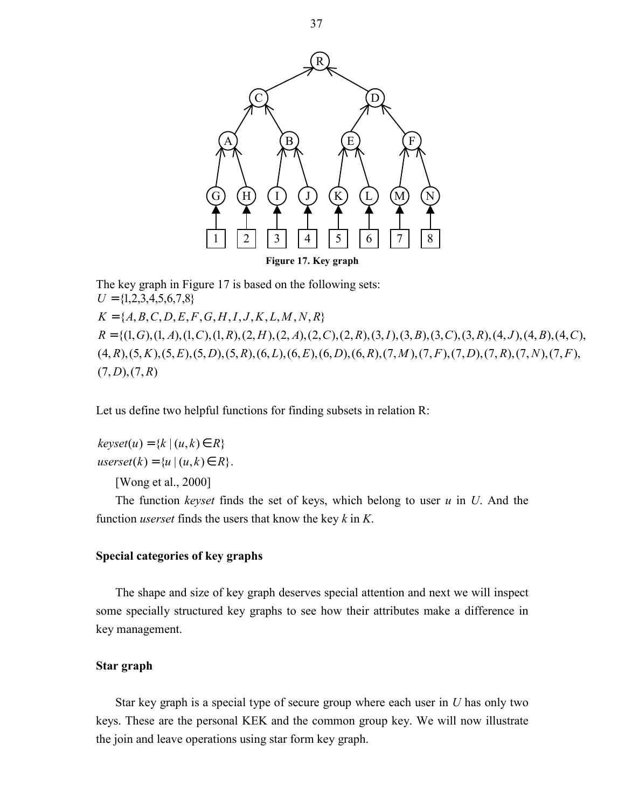

The key graph in Figure 17 is based on the following sets:  $(7, D), (7, R)$  $(4, R), (5, K), (5, E), (5, D), (5, R), (6, L), (6, E), (6, D), (6, R), (7, M), (7, F), (7, D), (7, R), (7, N), (7, F),$  $R = \{(1, G), (1, A), (1, C), (1, R), (2, H), (2, A), (2, C), (2, R), (3, I), (3, B), (3, C), (3, R), (4, J), (4, B), (4, C),$  ${K} = {A, B, C, D, E, F, G, H, I, J, K, L, M, N, R}$  $U = \{1,2,3,4,5,6,7,8\}$ 

Let us define two helpful functions for finding subsets in relation R:

 $userset(k) = \{ u \mid (u, k) \in R \}.$  $keyset(u) = \{k \mid (u, k) \in R\}$ 

[Wong et al., 2000]

The function *keyset* finds the set of keys, which belong to user *u* in *U*. And the function *userset* finds the users that know the key *k* in *K*.

# **Special categories of key graphs**

The shape and size of key graph deserves special attention and next we will inspect some specially structured key graphs to see how their attributes make a difference in key management.

# **Star graph**

Star key graph is a special type of secure group where each user in *U* has only two keys. These are the personal KEK and the common group key. We will now illustrate the join and leave operations using star form key graph.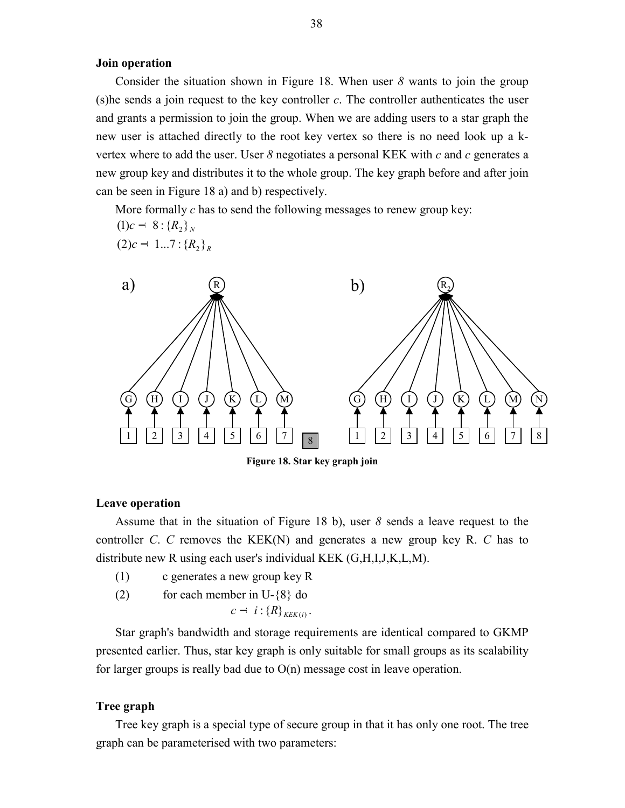# **Join operation**

Consider the situation shown in Figure 18. When user *8* wants to join the group (s)he sends a join request to the key controller *c*. The controller authenticates the user and grants a permission to join the group. When we are adding users to a star graph the new user is attached directly to the root key vertex so there is no need look up a kvertex where to add the user. User *8* negotiates a personal KEK with *c* and *c* generates a new group key and distributes it to the whole group. The key graph before and after join can be seen in Figure 18 a) and b) respectively.

More formally *c* has to send the following messages to renew group key:

 $(1)c - 8$  :  ${R_2}_{N}$  $(2)c - 1...7$  :  ${R_2}_{p}$ 



**Figure 18. Star key graph join**

#### **Leave operation**

Assume that in the situation of Figure 18 b), user *8* sends a leave request to the controller *C*. *C* removes the KEK(N) and generates a new group key R. *C* has to distribute new R using each user's individual KEK (G,H,I,J,K,L,M).

- (1) c generates a new group key R
- (2) for each member in U-{8} do

$$
c - i : \{R\}_{K\in K(i)}.
$$

Star graph's bandwidth and storage requirements are identical compared to GKMP presented earlier. Thus, star key graph is only suitable for small groups as its scalability for larger groups is really bad due to  $O(n)$  message cost in leave operation.

### **Tree graph**

Tree key graph is a special type of secure group in that it has only one root. The tree graph can be parameterised with two parameters: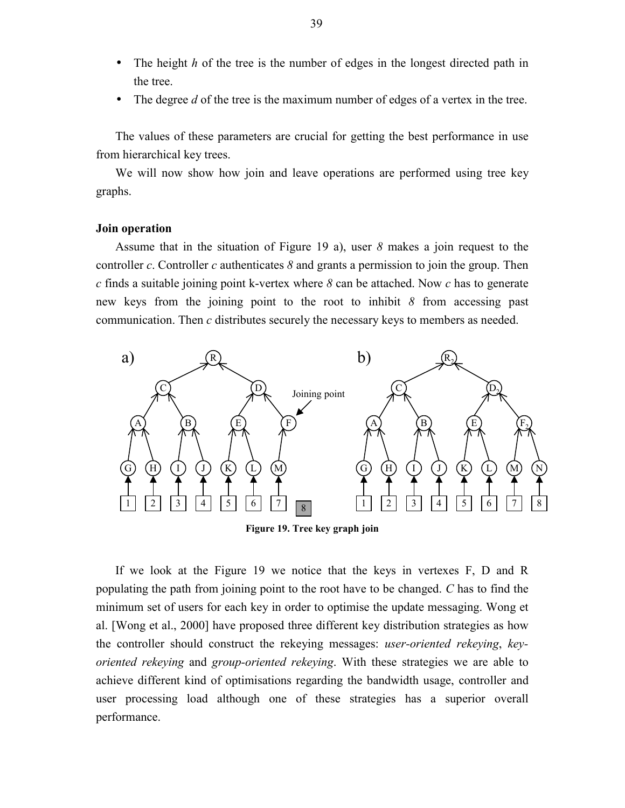- The height *h* of the tree is the number of edges in the longest directed path in the tree.
- The degree *d* of the tree is the maximum number of edges of a vertex in the tree.

The values of these parameters are crucial for getting the best performance in use from hierarchical key trees.

We will now show how join and leave operations are performed using tree key graphs.

#### **Join operation**

Assume that in the situation of Figure 19 a), user *8* makes a join request to the controller *c*. Controller *c* authenticates *8* and grants a permission to join the group. Then *c* finds a suitable joining point k-vertex where *8* can be attached. Now *c* has to generate new keys from the joining point to the root to inhibit *8* from accessing past communication. Then *c* distributes securely the necessary keys to members as needed.



**Figure 19. Tree key graph join**

If we look at the Figure 19 we notice that the keys in vertexes F, D and R populating the path from joining point to the root have to be changed. *C* has to find the minimum set of users for each key in order to optimise the update messaging. Wong et al. [Wong et al., 2000] have proposed three different key distribution strategies as how the controller should construct the rekeying messages: *user-oriented rekeying*, *keyoriented rekeying* and *group-oriented rekeying*. With these strategies we are able to achieve different kind of optimisations regarding the bandwidth usage, controller and user processing load although one of these strategies has a superior overall performance.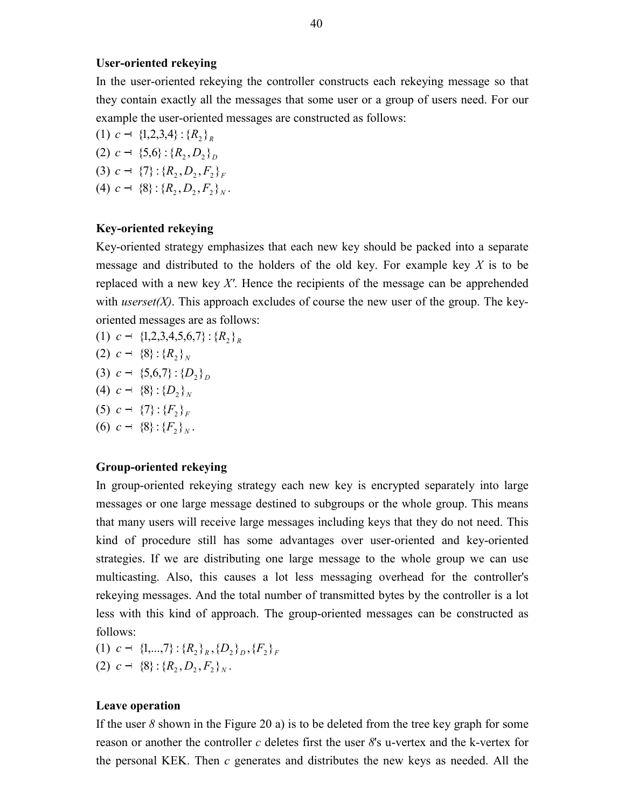# **User-oriented rekeying**

In the user-oriented rekeying the controller constructs each rekeying message so that they contain exactly all the messages that some user or a group of users need. For our example the user-oriented messages are constructed as follows:

- (1)  $c \{1,2,3,4\} : {R_2}_{R}$  $(2)$   $c - \{5,6\}$  :  $\{R_2, D_2\}_D$
- $(3)$   $c \{7\}$  :  $\{R_2, D_2, F_2\}_F$
- $(4)$   $c \{8\}$  :  $\{R_2, D_2, F_2\}_N$ .

## **Key-oriented rekeying**

Key-oriented strategy emphasizes that each new key should be packed into a separate message and distributed to the holders of the old key. For example key *X* is to be replaced with a new key *X'*. Hence the recipients of the message can be apprehended with *userset(X)*. This approach excludes of course the new user of the group. The keyoriented messages are as follows:

- (1)  $c \{1,2,3,4,5,6,7\}$ :  $\{R_{2}\}_R$
- $(2) \ c \{8\} : {R_2}_{N}$
- $(3)$  *c*  $-$  {5,6,7}: { $D_2$ }
- (4)  $c \{8\}$  :  $\{D_{2}\}_{N}$
- $(5)$   $c \{7\}$  :  $\{F_{2}\}_F$
- (6)  $c \{8\}$  :  ${F_{2}}_N$ .

# **Group-oriented rekeying**

In group-oriented rekeying strategy each new key is encrypted separately into large messages or one large message destined to subgroups or the whole group. This means that many users will receive large messages including keys that they do not need. This kind of procedure still has some advantages over user-oriented and key-oriented strategies. If we are distributing one large message to the whole group we can use multicasting. Also, this causes a lot less messaging overhead for the controller's rekeying messages. And the total number of transmitted bytes by the controller is a lot less with this kind of approach. The group-oriented messages can be constructed as follows:

- (1)  $c = \{1, ..., 7\}$ :  $\{R_n\}_p$ ,  $\{D_n\}_n$ ,  $\{F_n\}_F$
- $(2)$   $c \{8\}$  :  $\{R_2, D_2, F_2\}_N$ .

# **Leave operation**

If the user *8* shown in the Figure 20 a) is to be deleted from the tree key graph for some reason or another the controller *c* deletes first the user *8*'s u-vertex and the k-vertex for the personal KEK. Then *c* generates and distributes the new keys as needed. All the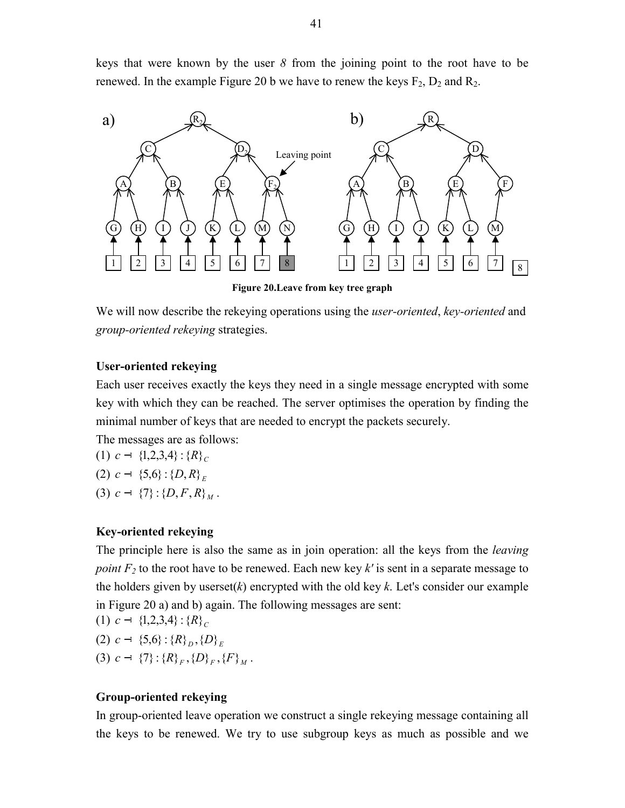keys that were known by the user *8* from the joining point to the root have to be renewed. In the example Figure 20 b we have to renew the keys  $F_2$ ,  $D_2$  and  $R_2$ .



**Figure 20.Leave from key tree graph**

We will now describe the rekeying operations using the *user-oriented*, *key-oriented* and *group-oriented rekeying* strategies.

# **User-oriented rekeying**

Each user receives exactly the keys they need in a single message encrypted with some key with which they can be reached. The server optimises the operation by finding the minimal number of keys that are needed to encrypt the packets securely.

The messages are as follows:

(1) 
$$
c - \{1, 2, 3, 4\} : \{R\}_C
$$
  
(2)  $c - \{5, 6\} : \{D, R\}_E$ 

 $(3)$   $c - \{7\}$  :  $\{D, F, R\}_M$ .

# **Key-oriented rekeying**

The principle here is also the same as in join operation: all the keys from the *leaving point*  $F_2$  to the root have to be renewed. Each new key  $k'$  is sent in a separate message to the holders given by userset(*k*) encrypted with the old key *k*. Let's consider our example in Figure 20 a) and b) again. The following messages are sent:

(1) 
$$
c - \{1,2,3,4\} : \{R\}_C
$$
  
(2)  $c - \{5,6\} : \{R\}_D, \{D\}_E$ 

(3)  $c - \{7\}$  :  $\{R\}_F$ ,  $\{D\}_F$ ,  $\{F\}_M$ .

# **Group-oriented rekeying**

In group-oriented leave operation we construct a single rekeying message containing all the keys to be renewed. We try to use subgroup keys as much as possible and we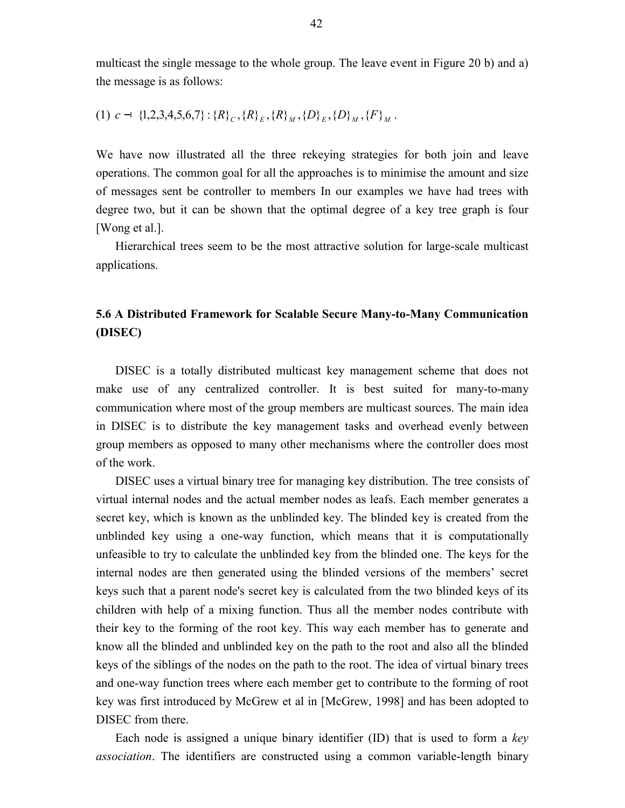multicast the single message to the whole group. The leave event in Figure 20 b) and a) the message is as follows:

$$
(1) \ c - \{1,2,3,4,5,6,7\} : \{R\}_{C}, \{R\}_{E}, \{R\}_{M}, \{D\}_{E}, \{D\}_{M}, \{F\}_{M}.
$$

We have now illustrated all the three rekeying strategies for both join and leave operations. The common goal for all the approaches is to minimise the amount and size of messages sent be controller to members In our examples we have had trees with degree two, but it can be shown that the optimal degree of a key tree graph is four [Wong et al.].

Hierarchical trees seem to be the most attractive solution for large-scale multicast applications.

# **5.6 A Distributed Framework for Scalable Secure Many-to-Many Communication (DISEC)**

DISEC is a totally distributed multicast key management scheme that does not make use of any centralized controller. It is best suited for many-to-many communication where most of the group members are multicast sources. The main idea in DISEC is to distribute the key management tasks and overhead evenly between group members as opposed to many other mechanisms where the controller does most of the work.

DISEC uses a virtual binary tree for managing key distribution. The tree consists of virtual internal nodes and the actual member nodes as leafs. Each member generates a secret key, which is known as the unblinded key. The blinded key is created from the unblinded key using a one-way function, which means that it is computationally unfeasible to try to calculate the unblinded key from the blinded one. The keys for the internal nodes are then generated using the blinded versions of the members' secret keys such that a parent node's secret key is calculated from the two blinded keys of its children with help of a mixing function. Thus all the member nodes contribute with their key to the forming of the root key. This way each member has to generate and know all the blinded and unblinded key on the path to the root and also all the blinded keys of the siblings of the nodes on the path to the root. The idea of virtual binary trees and one-way function trees where each member get to contribute to the forming of root key was first introduced by McGrew et al in [McGrew, 1998] and has been adopted to DISEC from there.

Each node is assigned a unique binary identifier (ID) that is used to form a *key association*. The identifiers are constructed using a common variable-length binary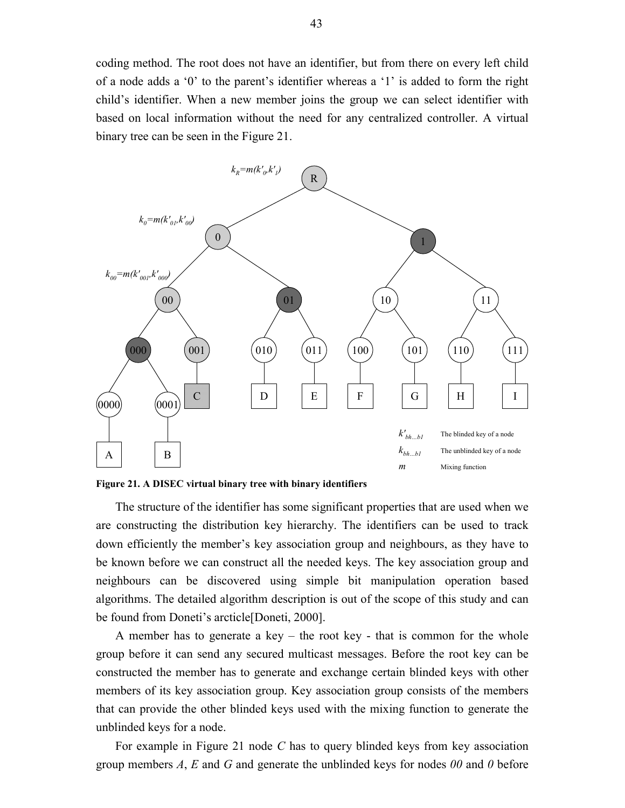coding method. The root does not have an identifier, but from there on every left child of a node adds a '0' to the parent's identifier whereas a '1' is added to form the right child's identifier. When a new member joins the group we can select identifier with based on local information without the need for any centralized controller. A virtual binary tree can be seen in the Figure 21.



**Figure 21. A DISEC virtual binary tree with binary identifiers**

The structure of the identifier has some significant properties that are used when we are constructing the distribution key hierarchy. The identifiers can be used to track down efficiently the member's key association group and neighbours, as they have to be known before we can construct all the needed keys. The key association group and neighbours can be discovered using simple bit manipulation operation based algorithms. The detailed algorithm description is out of the scope of this study and can be found from Doneti's arcticle[Doneti, 2000].

A member has to generate a key – the root key - that is common for the whole group before it can send any secured multicast messages. Before the root key can be constructed the member has to generate and exchange certain blinded keys with other members of its key association group. Key association group consists of the members that can provide the other blinded keys used with the mixing function to generate the unblinded keys for a node.

For example in Figure 21 node *C* has to query blinded keys from key association group members *A*, *E* and *G* and generate the unblinded keys for nodes *00* and *0* before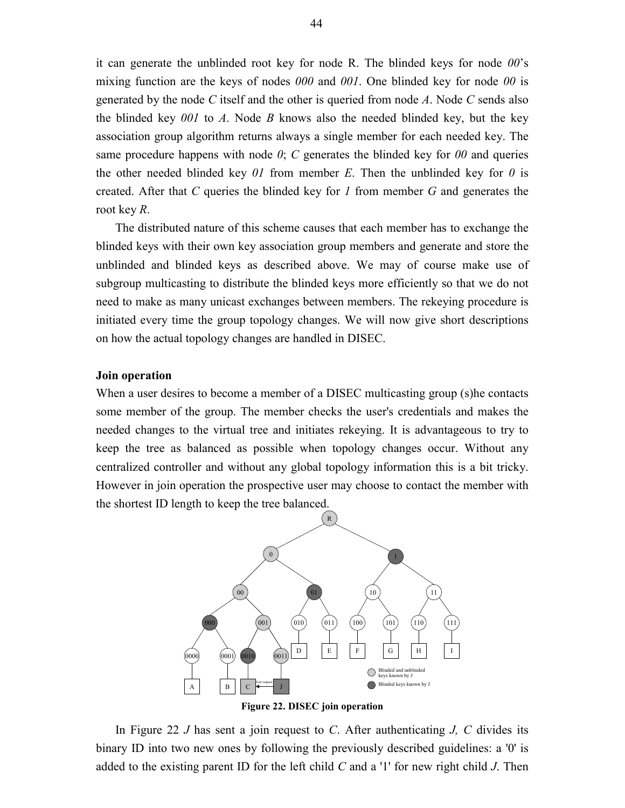it can generate the unblinded root key for node R. The blinded keys for node *00*'s mixing function are the keys of nodes *000* and *001*. One blinded key for node *00* is generated by the node *C* itself and the other is queried from node *A*. Node *C* sends also the blinded key *001* to *A*. Node *B* knows also the needed blinded key, but the key association group algorithm returns always a single member for each needed key. The same procedure happens with node  $\theta$ ;  $C$  generates the blinded key for  $\theta\theta$  and queries the other needed blinded key  $\theta$ *l* from member *E*. Then the unblinded key for  $\theta$  is created. After that *C* queries the blinded key for *1* from member *G* and generates the root key *R*.

The distributed nature of this scheme causes that each member has to exchange the blinded keys with their own key association group members and generate and store the unblinded and blinded keys as described above. We may of course make use of subgroup multicasting to distribute the blinded keys more efficiently so that we do not need to make as many unicast exchanges between members. The rekeying procedure is initiated every time the group topology changes. We will now give short descriptions on how the actual topology changes are handled in DISEC.

# **Join operation**

When a user desires to become a member of a DISEC multicasting group (s)he contacts some member of the group. The member checks the user's credentials and makes the needed changes to the virtual tree and initiates rekeying. It is advantageous to try to keep the tree as balanced as possible when topology changes occur. Without any centralized controller and without any global topology information this is a bit tricky. However in join operation the prospective user may choose to contact the member with the shortest ID length to keep the tree balanced.



In Figure 22 *J* has sent a join request to *C*. After authenticating *J, C* divides its binary ID into two new ones by following the previously described guidelines: a '0' is added to the existing parent ID for the left child *C* and a '1' for new right child *J*. Then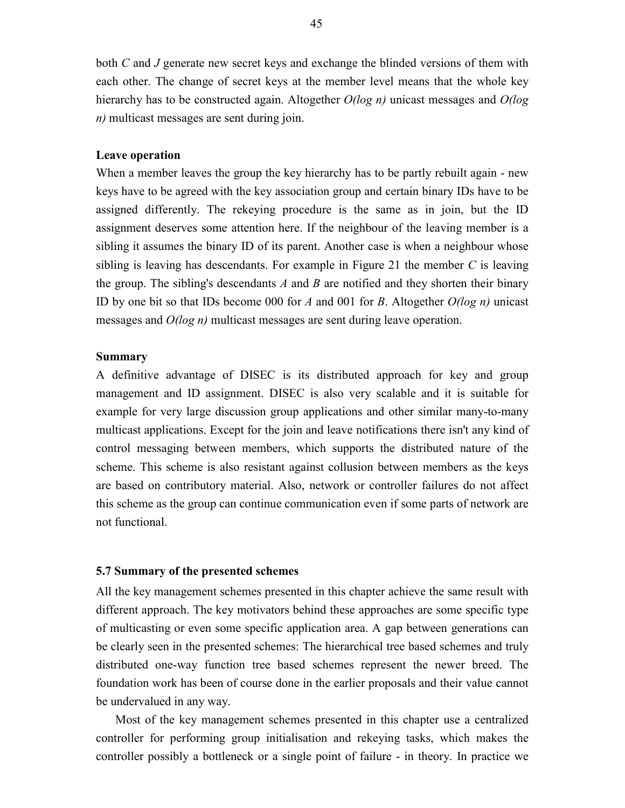both *C* and *J* generate new secret keys and exchange the blinded versions of them with each other. The change of secret keys at the member level means that the whole key hierarchy has to be constructed again. Altogether *O(log n)* unicast messages and *O(log n)* multicast messages are sent during join.

#### **Leave operation**

When a member leaves the group the key hierarchy has to be partly rebuilt again - new keys have to be agreed with the key association group and certain binary IDs have to be assigned differently. The rekeying procedure is the same as in join, but the ID assignment deserves some attention here. If the neighbour of the leaving member is a sibling it assumes the binary ID of its parent. Another case is when a neighbour whose sibling is leaving has descendants. For example in Figure 21 the member *C* is leaving the group. The sibling's descendants *A* and *B* are notified and they shorten their binary ID by one bit so that IDs become 000 for *A* and 001 for *B*. Altogether *O(log n)* unicast messages and *O(log n)* multicast messages are sent during leave operation.

#### **Summary**

A definitive advantage of DISEC is its distributed approach for key and group management and ID assignment. DISEC is also very scalable and it is suitable for example for very large discussion group applications and other similar many-to-many multicast applications. Except for the join and leave notifications there isn't any kind of control messaging between members, which supports the distributed nature of the scheme. This scheme is also resistant against collusion between members as the keys are based on contributory material. Also, network or controller failures do not affect this scheme as the group can continue communication even if some parts of network are not functional.

#### **5.7 Summary of the presented schemes**

All the key management schemes presented in this chapter achieve the same result with different approach. The key motivators behind these approaches are some specific type of multicasting or even some specific application area. A gap between generations can be clearly seen in the presented schemes: The hierarchical tree based schemes and truly distributed one-way function tree based schemes represent the newer breed. The foundation work has been of course done in the earlier proposals and their value cannot be undervalued in any way.

Most of the key management schemes presented in this chapter use a centralized controller for performing group initialisation and rekeying tasks, which makes the controller possibly a bottleneck or a single point of failure - in theory. In practice we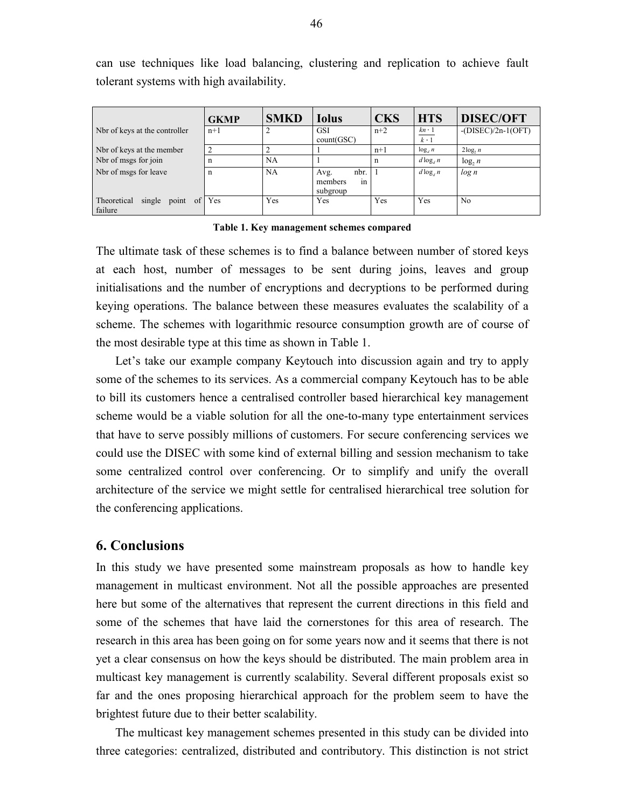|                                                 | <b>GKMP</b> | <b>SMKD</b> | <b>Iolus</b>                              | <b>CKS</b> | <b>HTS</b>      | <b>DISEC/OFT</b>     |
|-------------------------------------------------|-------------|-------------|-------------------------------------------|------------|-----------------|----------------------|
| Not of keys at the controller                   | $n+1$       |             | <b>GSI</b><br>count(GSC)                  | $n+2$      | $kn-1$<br>$k-1$ | $-(DISEC)/2n-1(OFT)$ |
| Nbr of keys at the member                       |             |             |                                           | $n+1$      | $\log_a n$      | $2\log_2 n$          |
| Not of msgs for join                            | n           | NA          |                                           | n          | $d \log_a n$    | $log_2 n$            |
| Nbr of msgs for leave                           | n           | NA          | nbr.<br>Avg.<br>members<br>1n<br>subgroup |            | $d \log_d n$    | log n                |
| Theoretical<br>single<br>point<br>of<br>failure | Yes         | Yes         | Yes                                       | Yes        | Yes             | N <sub>0</sub>       |

can use techniques like load balancing, clustering and replication to achieve fault tolerant systems with high availability.

#### **Table 1. Key management schemes compared**

The ultimate task of these schemes is to find a balance between number of stored keys at each host, number of messages to be sent during joins, leaves and group initialisations and the number of encryptions and decryptions to be performed during keying operations. The balance between these measures evaluates the scalability of a scheme. The schemes with logarithmic resource consumption growth are of course of the most desirable type at this time as shown in Table 1.

Let's take our example company Keytouch into discussion again and try to apply some of the schemes to its services. As a commercial company Keytouch has to be able to bill its customers hence a centralised controller based hierarchical key management scheme would be a viable solution for all the one-to-many type entertainment services that have to serve possibly millions of customers. For secure conferencing services we could use the DISEC with some kind of external billing and session mechanism to take some centralized control over conferencing. Or to simplify and unify the overall architecture of the service we might settle for centralised hierarchical tree solution for the conferencing applications.

# **6. Conclusions**

In this study we have presented some mainstream proposals as how to handle key management in multicast environment. Not all the possible approaches are presented here but some of the alternatives that represent the current directions in this field and some of the schemes that have laid the cornerstones for this area of research. The research in this area has been going on for some years now and it seems that there is not yet a clear consensus on how the keys should be distributed. The main problem area in multicast key management is currently scalability. Several different proposals exist so far and the ones proposing hierarchical approach for the problem seem to have the brightest future due to their better scalability.

The multicast key management schemes presented in this study can be divided into three categories: centralized, distributed and contributory. This distinction is not strict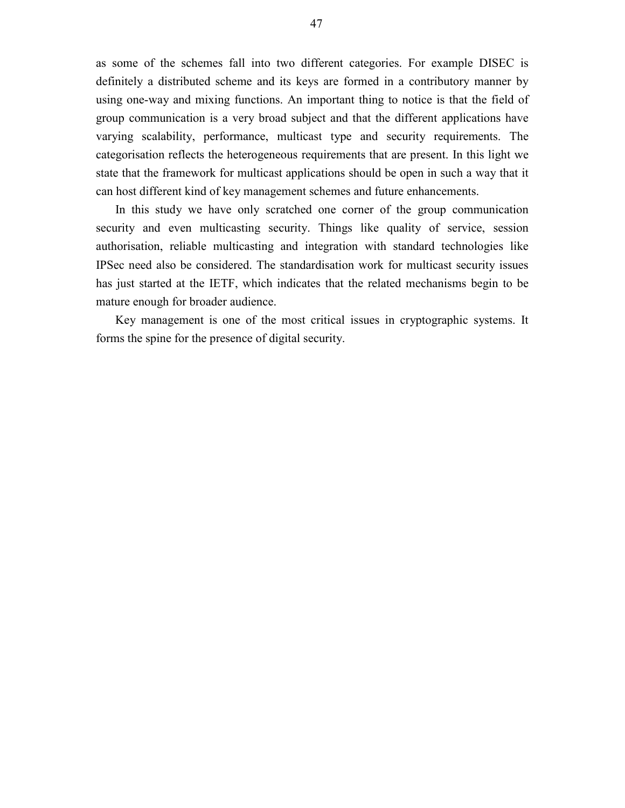as some of the schemes fall into two different categories. For example DISEC is definitely a distributed scheme and its keys are formed in a contributory manner by using one-way and mixing functions. An important thing to notice is that the field of group communication is a very broad subject and that the different applications have varying scalability, performance, multicast type and security requirements. The categorisation reflects the heterogeneous requirements that are present. In this light we state that the framework for multicast applications should be open in such a way that it can host different kind of key management schemes and future enhancements.

In this study we have only scratched one corner of the group communication security and even multicasting security. Things like quality of service, session authorisation, reliable multicasting and integration with standard technologies like IPSec need also be considered. The standardisation work for multicast security issues has just started at the IETF, which indicates that the related mechanisms begin to be mature enough for broader audience.

Key management is one of the most critical issues in cryptographic systems. It forms the spine for the presence of digital security.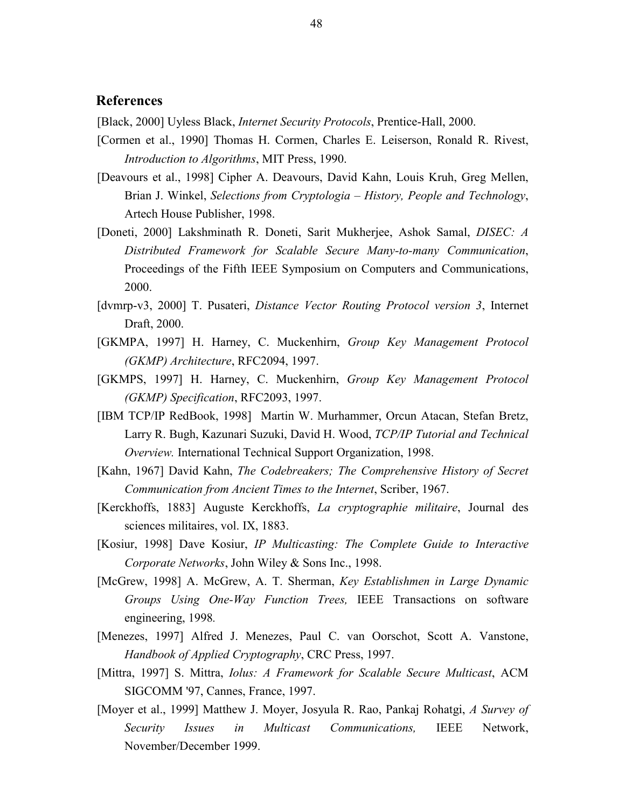# **References**

[Black, 2000] Uyless Black, *Internet Security Protocols*, Prentice-Hall, 2000.

- [Cormen et al., 1990] Thomas H. Cormen, Charles E. Leiserson, Ronald R. Rivest, *Introduction to Algorithms*, MIT Press, 1990.
- [Deavours et al., 1998] Cipher A. Deavours, David Kahn, Louis Kruh, Greg Mellen, Brian J. Winkel, *Selections from Cryptologia – History, People and Technology*, Artech House Publisher, 1998.
- [Doneti, 2000] Lakshminath R. Doneti, Sarit Mukherjee, Ashok Samal, *DISEC: A Distributed Framework for Scalable Secure Many-to-many Communication*, Proceedings of the Fifth IEEE Symposium on Computers and Communications, 2000.
- [dvmrp-v3, 2000] T. Pusateri, *Distance Vector Routing Protocol version 3*, Internet Draft, 2000.
- [GKMPA, 1997] H. Harney, C. Muckenhirn, *Group Key Management Protocol (GKMP) Architecture*, RFC2094, 1997.
- [GKMPS, 1997] H. Harney, C. Muckenhirn, *Group Key Management Protocol (GKMP) Specification*, RFC2093, 1997.
- [IBM TCP/IP RedBook, 1998] Martin W. Murhammer, Orcun Atacan, Stefan Bretz, Larry R. Bugh, Kazunari Suzuki, David H. Wood, *TCP/IP Tutorial and Technical Overview.* International Technical Support Organization, 1998.
- [Kahn, 1967] David Kahn, *The Codebreakers; The Comprehensive History of Secret Communication from Ancient Times to the Internet*, Scriber, 1967.
- [Kerckhoffs, 1883] Auguste Kerckhoffs, *La cryptographie militaire*, Journal des sciences militaires, vol. IX, 1883.
- [Kosiur, 1998] Dave Kosiur, *IP Multicasting: The Complete Guide to Interactive Corporate Networks*, John Wiley & Sons Inc., 1998.
- [McGrew, 1998] A. McGrew, A. T. Sherman, *Key Establishmen in Large Dynamic Groups Using One-Way Function Trees,* IEEE Transactions on software engineering, 1998*.*
- [Menezes, 1997] Alfred J. Menezes, Paul C. van Oorschot, Scott A. Vanstone, *Handbook of Applied Cryptography*, CRC Press, 1997.
- [Mittra, 1997] S. Mittra, *Iolus: A Framework for Scalable Secure Multicast*, ACM SIGCOMM '97, Cannes, France, 1997.
- [Moyer et al., 1999] Matthew J. Moyer, Josyula R. Rao, Pankaj Rohatgi, *A Survey of Security Issues in Multicast Communications,* IEEE Network, November/December 1999.